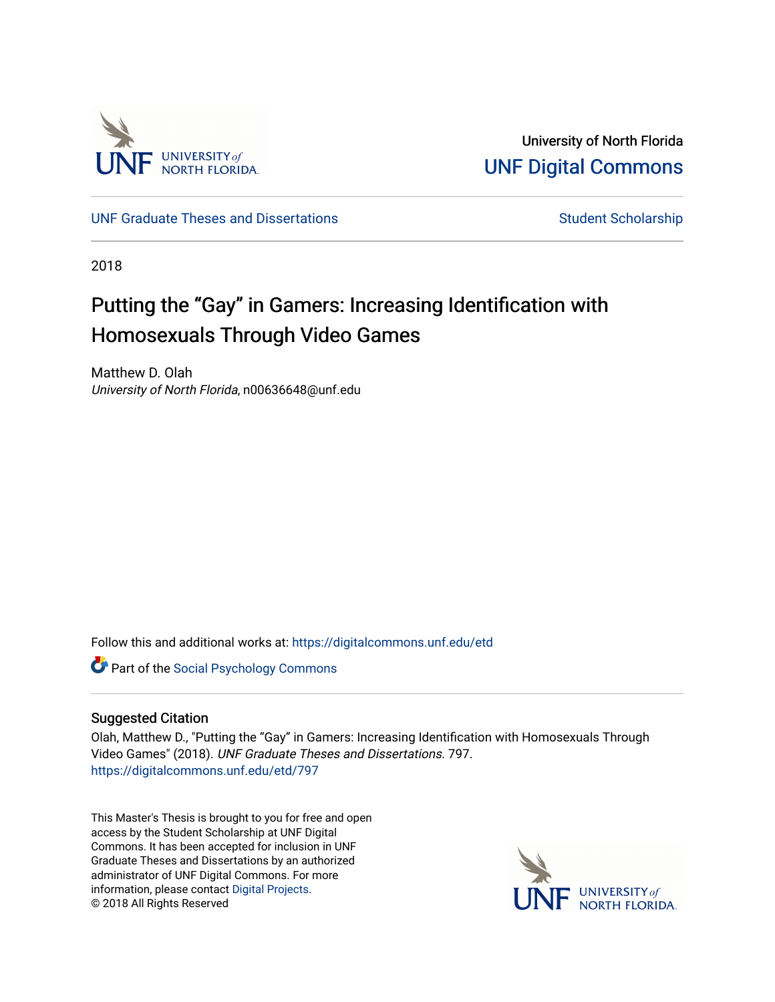

University of North Florida [UNF Digital Commons](https://digitalcommons.unf.edu/) 

[UNF Graduate Theses and Dissertations](https://digitalcommons.unf.edu/etd) [Student Scholarship](https://digitalcommons.unf.edu/student_scholars) Student Scholarship

2018

## Putting the "Gay" in Gamers: Increasing Identification with Homosexuals Through Video Games

Matthew D. Olah University of North Florida, n00636648@unf.edu

Follow this and additional works at: [https://digitalcommons.unf.edu/etd](https://digitalcommons.unf.edu/etd?utm_source=digitalcommons.unf.edu%2Fetd%2F797&utm_medium=PDF&utm_campaign=PDFCoverPages) 

**Part of the Social Psychology Commons** 

#### Suggested Citation

Olah, Matthew D., "Putting the "Gay" in Gamers: Increasing Identification with Homosexuals Through Video Games" (2018). UNF Graduate Theses and Dissertations. 797. [https://digitalcommons.unf.edu/etd/797](https://digitalcommons.unf.edu/etd/797?utm_source=digitalcommons.unf.edu%2Fetd%2F797&utm_medium=PDF&utm_campaign=PDFCoverPages) 

This Master's Thesis is brought to you for free and open access by the Student Scholarship at UNF Digital Commons. It has been accepted for inclusion in UNF Graduate Theses and Dissertations by an authorized administrator of UNF Digital Commons. For more information, please contact [Digital Projects](mailto:lib-digital@unf.edu). © 2018 All Rights Reserved

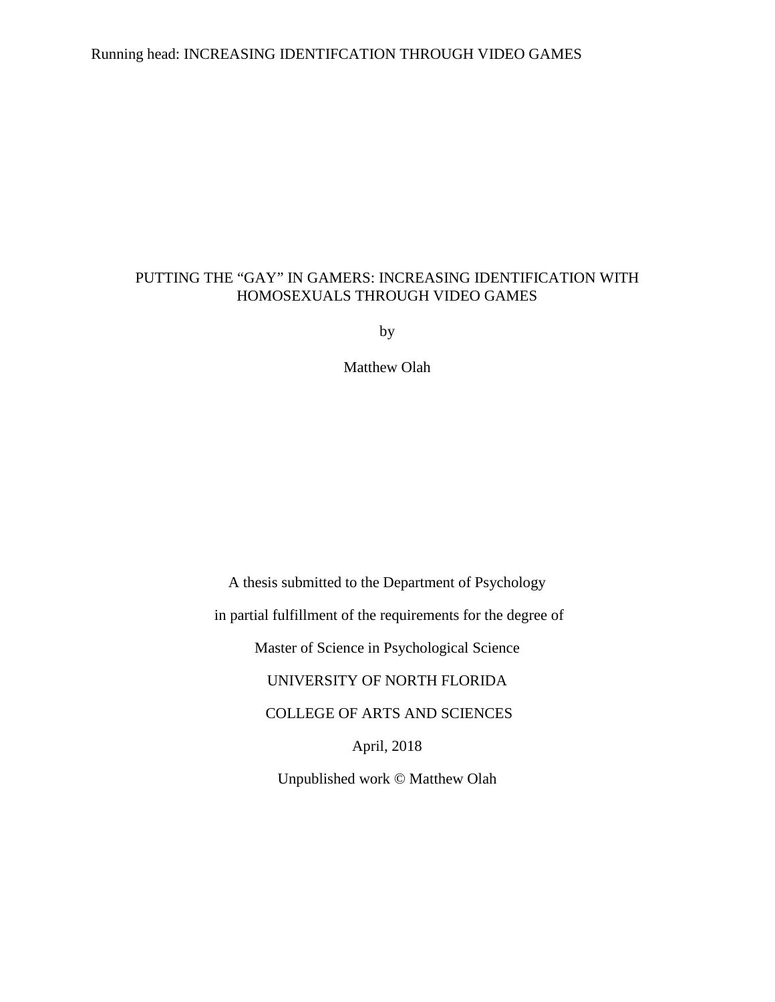## Running head: INCREASING IDENTIFCATION THROUGH VIDEO GAMES

## PUTTING THE "GAY" IN GAMERS: INCREASING IDENTIFICATION WITH HOMOSEXUALS THROUGH VIDEO GAMES

by

Matthew Olah

A thesis submitted to the Department of Psychology

in partial fulfillment of the requirements for the degree of

Master of Science in Psychological Science

UNIVERSITY OF NORTH FLORIDA

COLLEGE OF ARTS AND SCIENCES

April, 2018

Unpublished work © Matthew Olah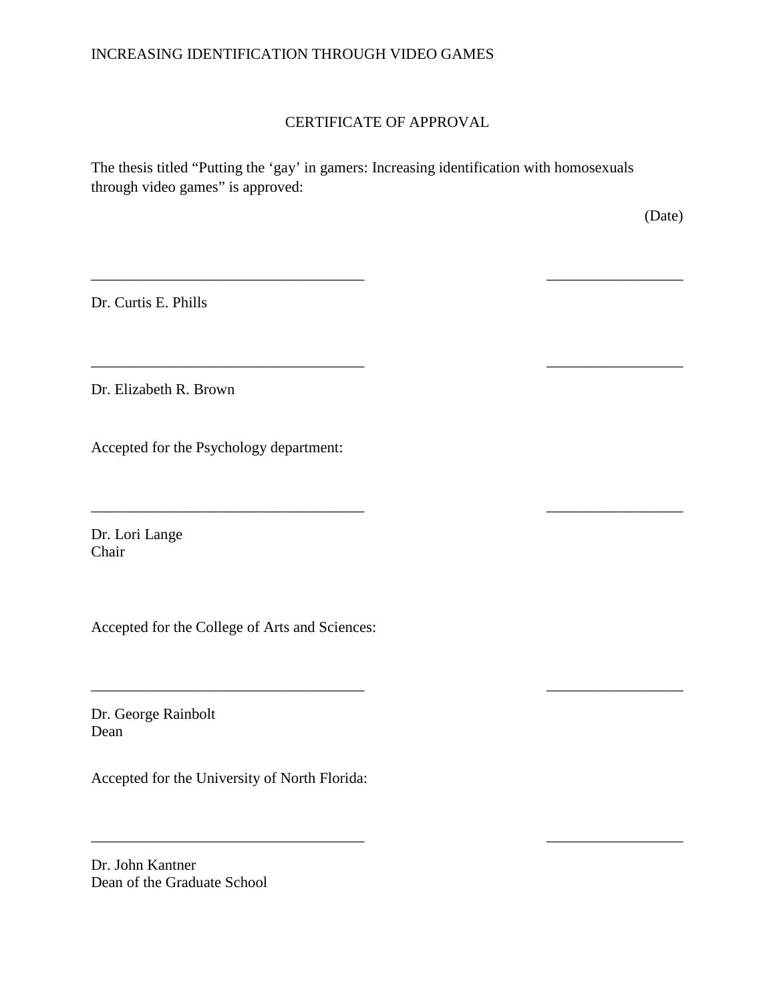## INCREASING IDENTIFICATION THROUGH VIDEO GAMES

## CERTIFICATE OF APPROVAL

\_\_\_\_\_\_\_\_\_\_\_\_\_\_\_\_\_\_\_\_\_\_\_\_\_\_\_\_\_\_\_\_\_\_\_\_ \_\_\_\_\_\_\_\_\_\_\_\_\_\_\_\_\_\_

\_\_\_\_\_\_\_\_\_\_\_\_\_\_\_\_\_\_\_\_\_\_\_\_\_\_\_\_\_\_\_\_\_\_\_\_ \_\_\_\_\_\_\_\_\_\_\_\_\_\_\_\_\_\_

\_\_\_\_\_\_\_\_\_\_\_\_\_\_\_\_\_\_\_\_\_\_\_\_\_\_\_\_\_\_\_\_\_\_\_\_ \_\_\_\_\_\_\_\_\_\_\_\_\_\_\_\_\_\_

The thesis titled "Putting the 'gay' in gamers: Increasing identification with homosexuals through video games" is approved:

(Date)

Dr. Curtis E. Phills

Dr. Elizabeth R. Brown

Accepted for the Psychology department:

\_\_\_\_\_\_\_\_\_\_\_\_\_\_\_\_\_\_\_\_\_\_\_\_\_\_\_\_\_\_\_\_\_\_\_\_ \_\_\_\_\_\_\_\_\_\_\_\_\_\_\_\_\_\_

Dr. Lori Lange Chair

Accepted for the College of Arts and Sciences:

\_\_\_\_\_\_\_\_\_\_\_\_\_\_\_\_\_\_\_\_\_\_\_\_\_\_\_\_\_\_\_\_\_\_\_\_ \_\_\_\_\_\_\_\_\_\_\_\_\_\_\_\_\_\_

Dr. George Rainbolt Dean

Accepted for the University of North Florida:

Dr. John Kantner Dean of the Graduate School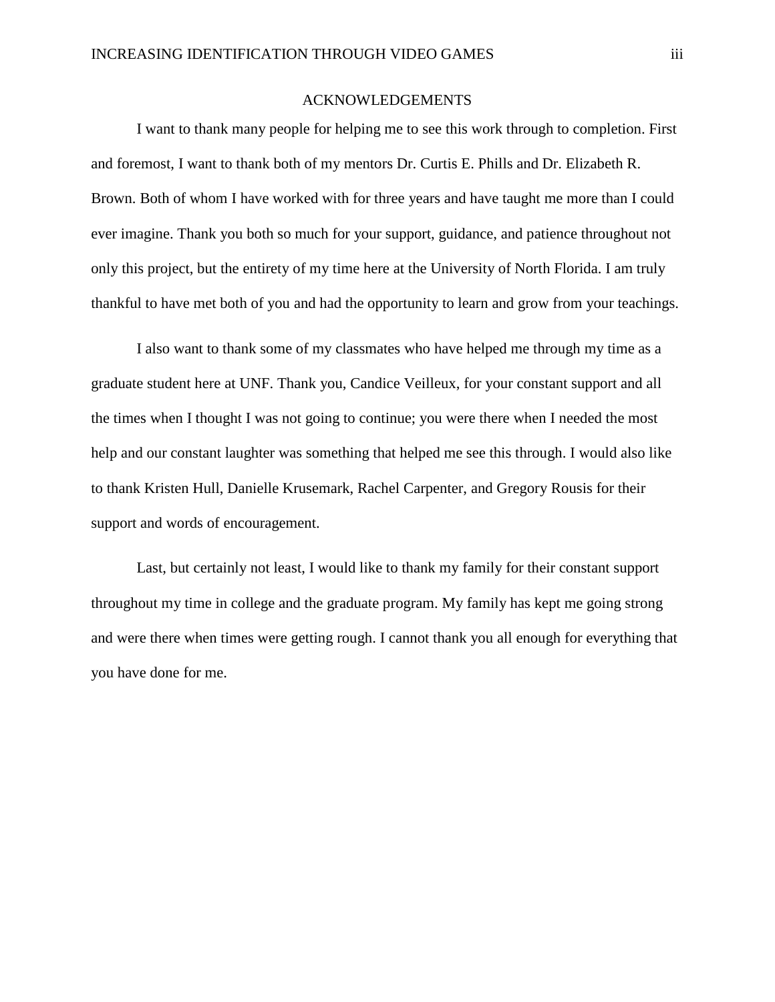#### ACKNOWLEDGEMENTS

I want to thank many people for helping me to see this work through to completion. First and foremost, I want to thank both of my mentors Dr. Curtis E. Phills and Dr. Elizabeth R. Brown. Both of whom I have worked with for three years and have taught me more than I could ever imagine. Thank you both so much for your support, guidance, and patience throughout not only this project, but the entirety of my time here at the University of North Florida. I am truly thankful to have met both of you and had the opportunity to learn and grow from your teachings.

I also want to thank some of my classmates who have helped me through my time as a graduate student here at UNF. Thank you, Candice Veilleux, for your constant support and all the times when I thought I was not going to continue; you were there when I needed the most help and our constant laughter was something that helped me see this through. I would also like to thank Kristen Hull, Danielle Krusemark, Rachel Carpenter, and Gregory Rousis for their support and words of encouragement.

Last, but certainly not least, I would like to thank my family for their constant support throughout my time in college and the graduate program. My family has kept me going strong and were there when times were getting rough. I cannot thank you all enough for everything that you have done for me.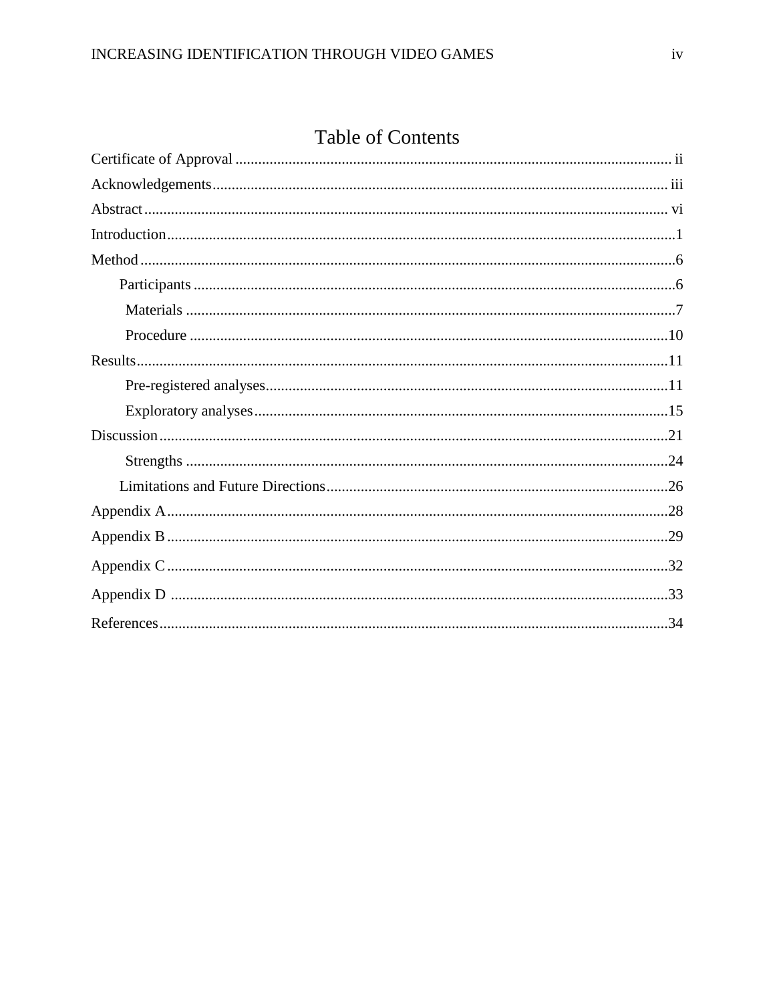## **Table of Contents**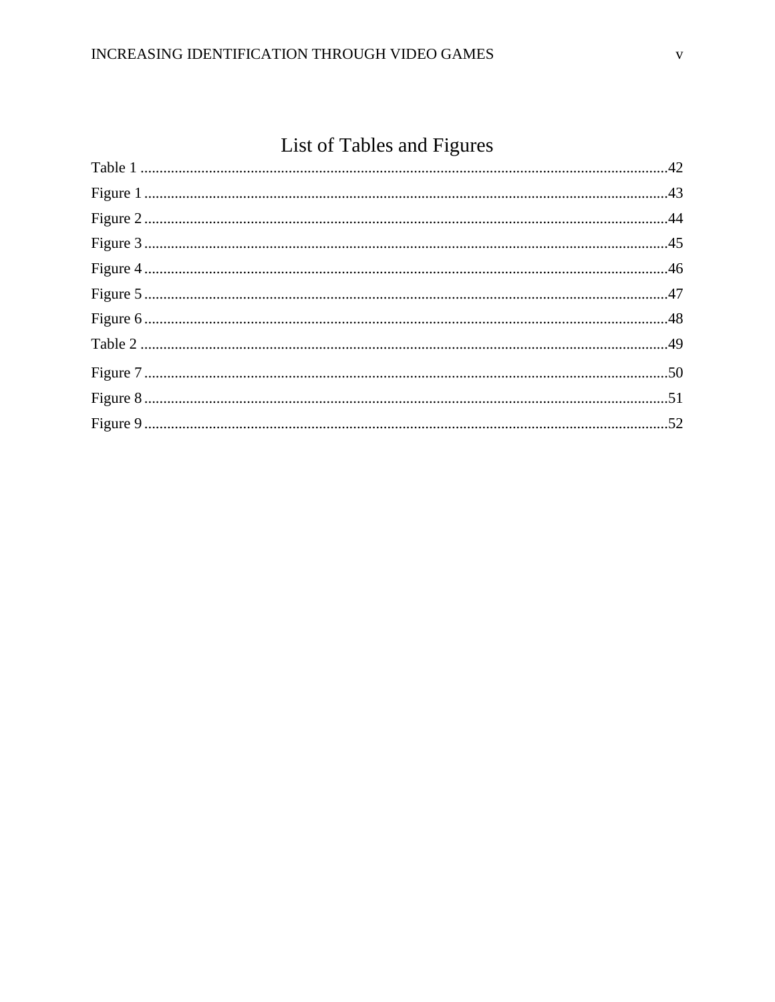# List of Tables and Figures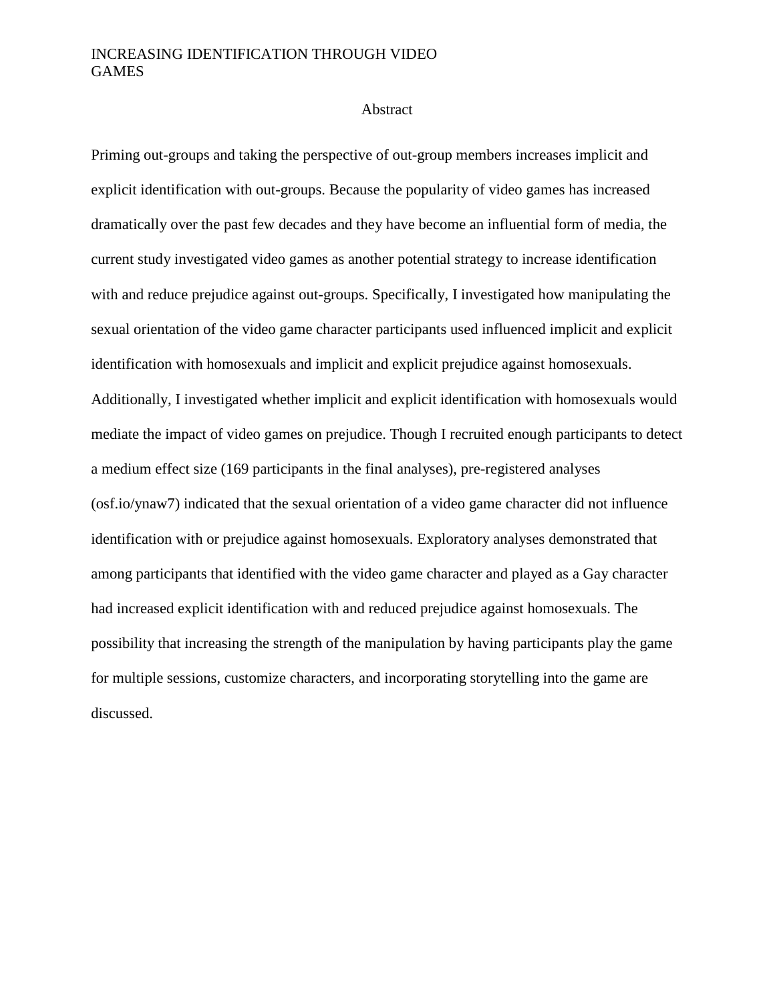#### Abstract

Priming out-groups and taking the perspective of out-group members increases implicit and explicit identification with out-groups. Because the popularity of video games has increased dramatically over the past few decades and they have become an influential form of media, the current study investigated video games as another potential strategy to increase identification with and reduce prejudice against out-groups. Specifically, I investigated how manipulating the sexual orientation of the video game character participants used influenced implicit and explicit identification with homosexuals and implicit and explicit prejudice against homosexuals. Additionally, I investigated whether implicit and explicit identification with homosexuals would mediate the impact of video games on prejudice. Though I recruited enough participants to detect a medium effect size (169 participants in the final analyses), pre-registered analyses (osf.io/ynaw7) indicated that the sexual orientation of a video game character did not influence identification with or prejudice against homosexuals. Exploratory analyses demonstrated that among participants that identified with the video game character and played as a Gay character had increased explicit identification with and reduced prejudice against homosexuals. The possibility that increasing the strength of the manipulation by having participants play the game for multiple sessions, customize characters, and incorporating storytelling into the game are discussed.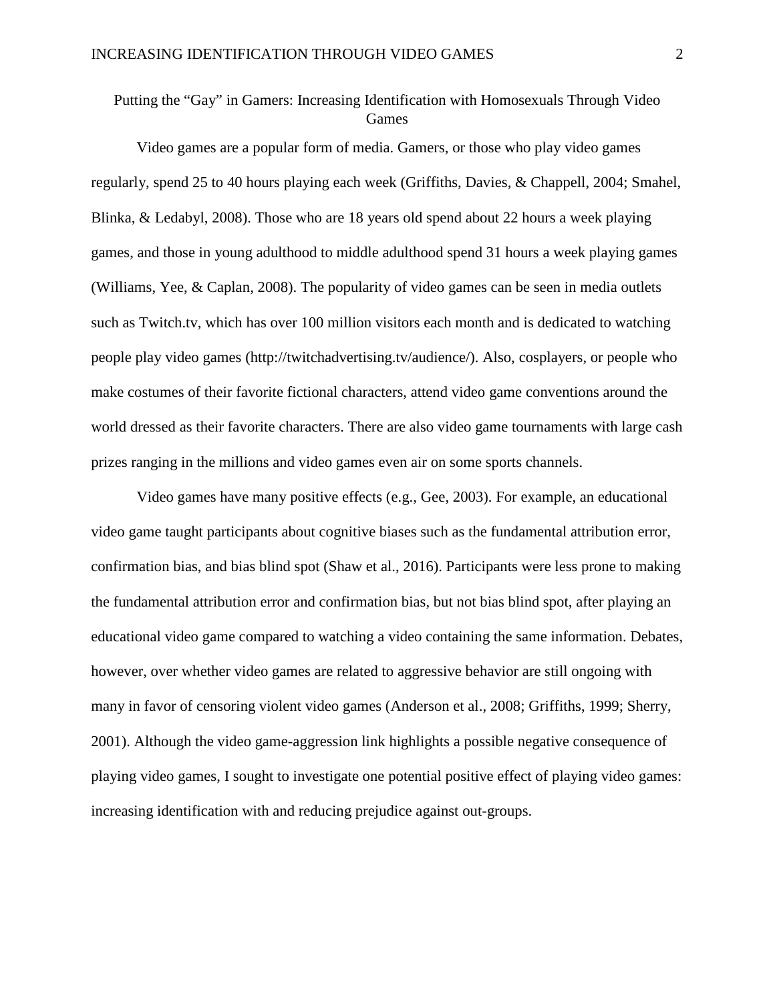## Putting the "Gay" in Gamers: Increasing Identification with Homosexuals Through Video Games

 Video games are a popular form of media. Gamers, or those who play video games regularly, spend 25 to 40 hours playing each week (Griffiths, Davies, & Chappell, 2004; Smahel, Blinka, & Ledabyl, 2008). Those who are 18 years old spend about 22 hours a week playing games, and those in young adulthood to middle adulthood spend 31 hours a week playing games (Williams, Yee, & Caplan, 2008). The popularity of video games can be seen in media outlets such as Twitch.tv, which has over 100 million visitors each month and is dedicated to watching people play video games (http://twitchadvertising.tv/audience/). Also, cosplayers, or people who make costumes of their favorite fictional characters, attend video game conventions around the world dressed as their favorite characters. There are also video game tournaments with large cash prizes ranging in the millions and video games even air on some sports channels.

Video games have many positive effects (e.g., Gee, 2003). For example, an educational video game taught participants about cognitive biases such as the fundamental attribution error, confirmation bias, and bias blind spot (Shaw et al., 2016). Participants were less prone to making the fundamental attribution error and confirmation bias, but not bias blind spot, after playing an educational video game compared to watching a video containing the same information. Debates, however, over whether video games are related to aggressive behavior are still ongoing with many in favor of censoring violent video games (Anderson et al., 2008; Griffiths, 1999; Sherry, 2001). Although the video game-aggression link highlights a possible negative consequence of playing video games, I sought to investigate one potential positive effect of playing video games: increasing identification with and reducing prejudice against out-groups.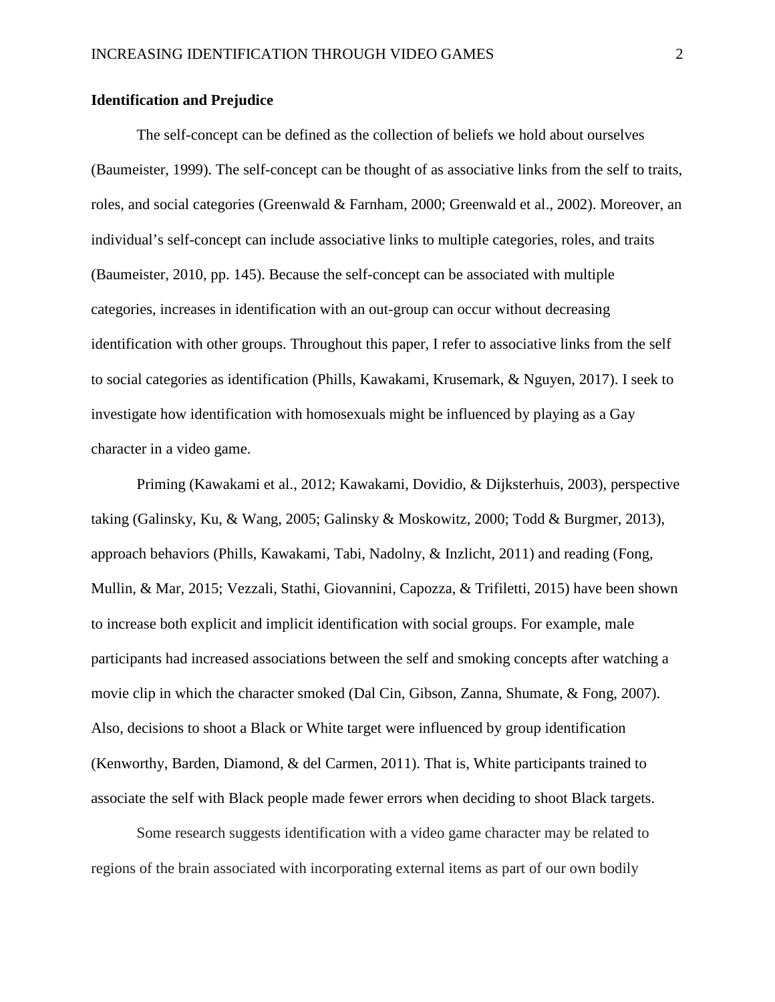#### **Identification and Prejudice**

The self-concept can be defined as the collection of beliefs we hold about ourselves (Baumeister, 1999). The self-concept can be thought of as associative links from the self to traits, roles, and social categories (Greenwald & Farnham, 2000; Greenwald et al., 2002). Moreover, an individual's self-concept can include associative links to multiple categories, roles, and traits (Baumeister, 2010, pp. 145). Because the self-concept can be associated with multiple categories, increases in identification with an out-group can occur without decreasing identification with other groups. Throughout this paper, I refer to associative links from the self to social categories as identification (Phills, Kawakami, Krusemark, & Nguyen, 2017). I seek to investigate how identification with homosexuals might be influenced by playing as a Gay character in a video game.

Priming (Kawakami et al., 2012; Kawakami, Dovidio, & Dijksterhuis, 2003), perspective taking (Galinsky, Ku, & Wang, 2005; Galinsky & Moskowitz, 2000; Todd & Burgmer, 2013), approach behaviors (Phills, Kawakami, Tabi, Nadolny, & Inzlicht, 2011) and reading (Fong, Mullin, & Mar, 2015; Vezzali, Stathi, Giovannini, Capozza, & Trifiletti, 2015) have been shown to increase both explicit and implicit identification with social groups. For example, male participants had increased associations between the self and smoking concepts after watching a movie clip in which the character smoked (Dal Cin, Gibson, Zanna, Shumate, & Fong, 2007). Also, decisions to shoot a Black or White target were influenced by group identification (Kenworthy, Barden, Diamond, & del Carmen, 2011). That is, White participants trained to associate the self with Black people made fewer errors when deciding to shoot Black targets.

Some research suggests identification with a video game character may be related to regions of the brain associated with incorporating external items as part of our own bodily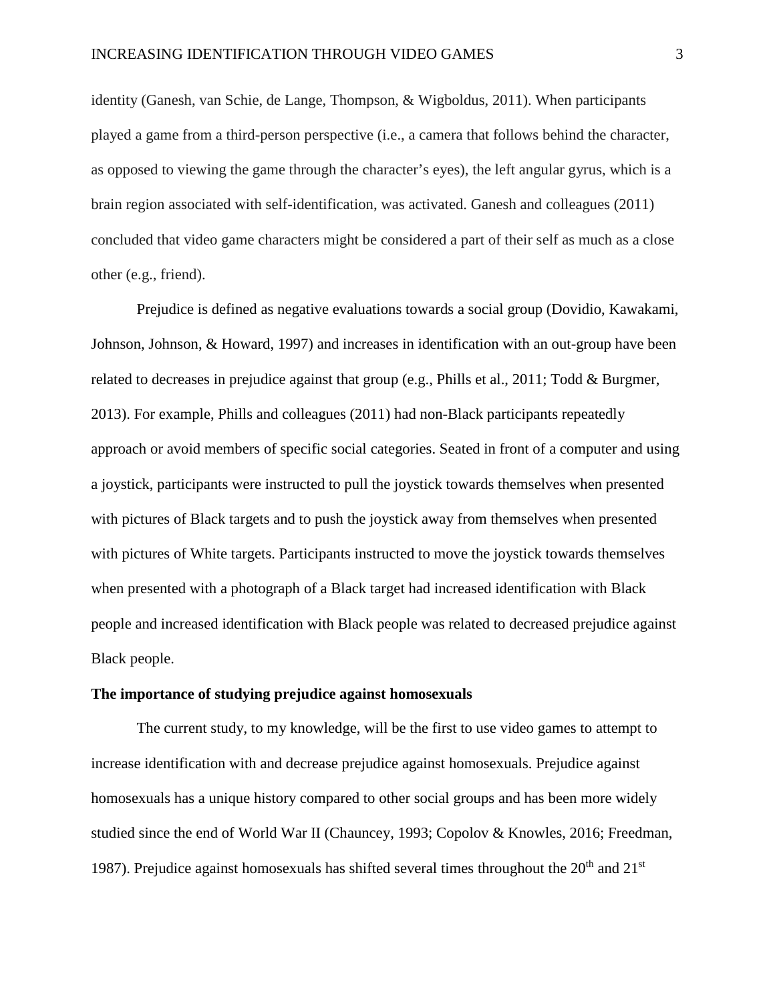identity (Ganesh, van Schie, de Lange, Thompson, & Wigboldus, 2011). When participants played a game from a third-person perspective (i.e., a camera that follows behind the character, as opposed to viewing the game through the character's eyes), the left angular gyrus, which is a brain region associated with self-identification, was activated. Ganesh and colleagues (2011) concluded that video game characters might be considered a part of their self as much as a close other (e.g., friend).

Prejudice is defined as negative evaluations towards a social group (Dovidio, Kawakami, Johnson, Johnson, & Howard, 1997) and increases in identification with an out-group have been related to decreases in prejudice against that group (e.g., Phills et al., 2011; Todd & Burgmer, 2013). For example, Phills and colleagues (2011) had non-Black participants repeatedly approach or avoid members of specific social categories. Seated in front of a computer and using a joystick, participants were instructed to pull the joystick towards themselves when presented with pictures of Black targets and to push the joystick away from themselves when presented with pictures of White targets. Participants instructed to move the joystick towards themselves when presented with a photograph of a Black target had increased identification with Black people and increased identification with Black people was related to decreased prejudice against Black people.

#### **The importance of studying prejudice against homosexuals**

The current study, to my knowledge, will be the first to use video games to attempt to increase identification with and decrease prejudice against homosexuals. Prejudice against homosexuals has a unique history compared to other social groups and has been more widely studied since the end of World War II (Chauncey, 1993; Copolov & Knowles, 2016; Freedman, 1987). Prejudice against homosexuals has shifted several times throughout the  $20<sup>th</sup>$  and  $21<sup>st</sup>$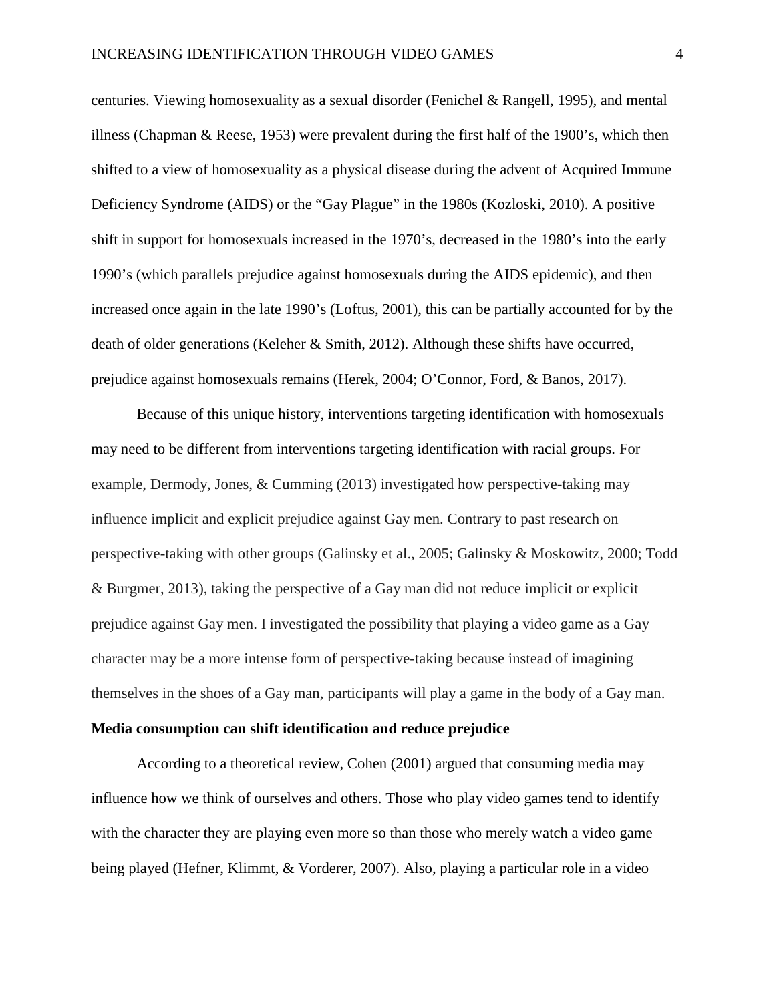centuries. Viewing homosexuality as a sexual disorder (Fenichel & Rangell, 1995), and mental illness (Chapman & Reese, 1953) were prevalent during the first half of the 1900's, which then shifted to a view of homosexuality as a physical disease during the advent of Acquired Immune Deficiency Syndrome (AIDS) or the "Gay Plague" in the 1980s (Kozloski, 2010). A positive shift in support for homosexuals increased in the 1970's, decreased in the 1980's into the early 1990's (which parallels prejudice against homosexuals during the AIDS epidemic), and then increased once again in the late 1990's (Loftus, 2001), this can be partially accounted for by the death of older generations (Keleher & Smith, 2012). Although these shifts have occurred, prejudice against homosexuals remains (Herek, 2004; O'Connor, Ford, & Banos, 2017).

Because of this unique history, interventions targeting identification with homosexuals may need to be different from interventions targeting identification with racial groups. For example, Dermody, Jones, & Cumming (2013) investigated how perspective-taking may influence implicit and explicit prejudice against Gay men. Contrary to past research on perspective-taking with other groups (Galinsky et al., 2005; Galinsky & Moskowitz, 2000; Todd & Burgmer, 2013), taking the perspective of a Gay man did not reduce implicit or explicit prejudice against Gay men. I investigated the possibility that playing a video game as a Gay character may be a more intense form of perspective-taking because instead of imagining themselves in the shoes of a Gay man, participants will play a game in the body of a Gay man.

#### **Media consumption can shift identification and reduce prejudice**

According to a theoretical review, Cohen (2001) argued that consuming media may influence how we think of ourselves and others. Those who play video games tend to identify with the character they are playing even more so than those who merely watch a video game being played (Hefner, Klimmt, & Vorderer, 2007). Also, playing a particular role in a video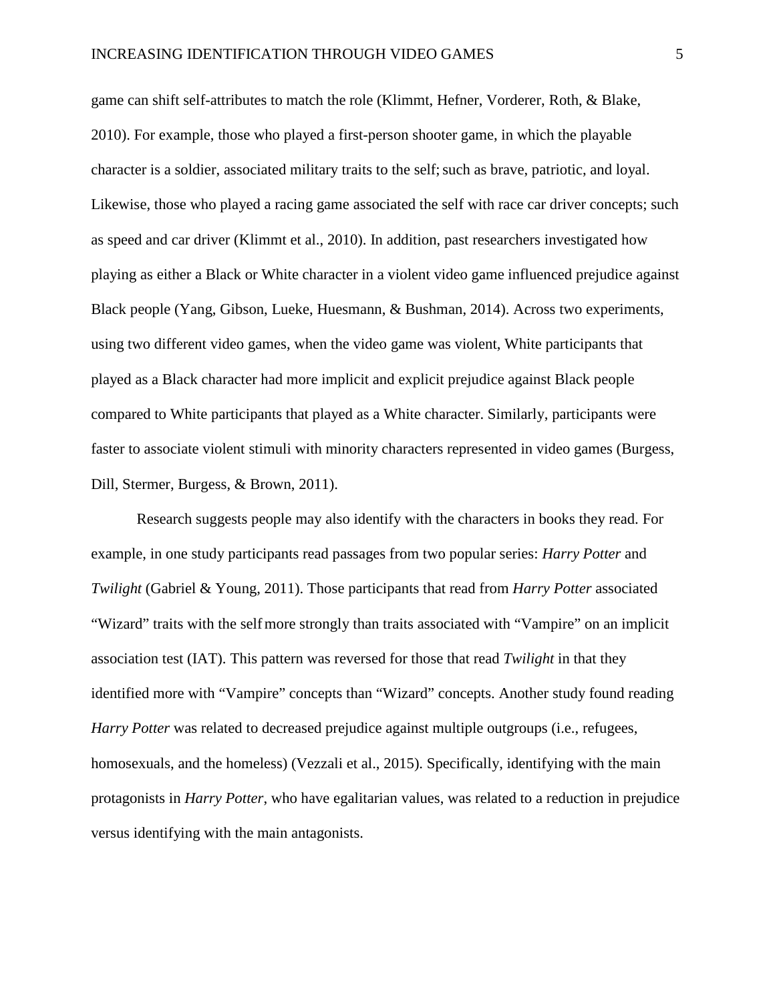game can shift self-attributes to match the role (Klimmt, Hefner, Vorderer, Roth, & Blake, 2010). For example, those who played a first-person shooter game, in which the playable character is a soldier, associated military traits to the self; such as brave, patriotic, and loyal. Likewise, those who played a racing game associated the self with race car driver concepts; such as speed and car driver (Klimmt et al., 2010). In addition, past researchers investigated how playing as either a Black or White character in a violent video game influenced prejudice against Black people (Yang, Gibson, Lueke, Huesmann, & Bushman, 2014). Across two experiments, using two different video games, when the video game was violent, White participants that played as a Black character had more implicit and explicit prejudice against Black people compared to White participants that played as a White character. Similarly, participants were faster to associate violent stimuli with minority characters represented in video games (Burgess, Dill, Stermer, Burgess, & Brown, 2011).

Research suggests people may also identify with the characters in books they read. For example, in one study participants read passages from two popular series: *Harry Potter* and *Twilight* (Gabriel & Young, 2011). Those participants that read from *Harry Potter* associated "Wizard" traits with the selfmore strongly than traits associated with "Vampire" on an implicit association test (IAT). This pattern was reversed for those that read *Twilight* in that they identified more with "Vampire" concepts than "Wizard" concepts. Another study found reading *Harry Potter* was related to decreased prejudice against multiple outgroups (i.e., refugees, homosexuals, and the homeless) (Vezzali et al., 2015). Specifically, identifying with the main protagonists in *Harry Potter*, who have egalitarian values, was related to a reduction in prejudice versus identifying with the main antagonists.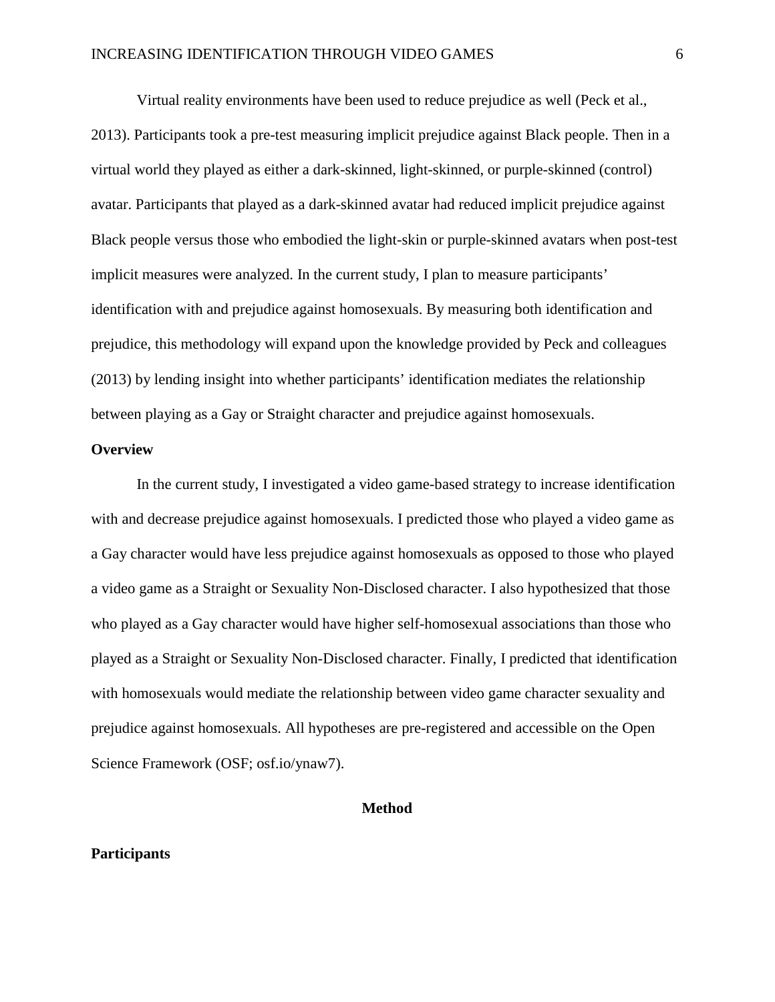Virtual reality environments have been used to reduce prejudice as well (Peck et al., 2013). Participants took a pre-test measuring implicit prejudice against Black people. Then in a virtual world they played as either a dark-skinned, light-skinned, or purple-skinned (control) avatar. Participants that played as a dark-skinned avatar had reduced implicit prejudice against Black people versus those who embodied the light-skin or purple-skinned avatars when post-test implicit measures were analyzed. In the current study, I plan to measure participants' identification with and prejudice against homosexuals. By measuring both identification and prejudice, this methodology will expand upon the knowledge provided by Peck and colleagues (2013) by lending insight into whether participants' identification mediates the relationship between playing as a Gay or Straight character and prejudice against homosexuals.

#### **Overview**

 In the current study, I investigated a video game-based strategy to increase identification with and decrease prejudice against homosexuals. I predicted those who played a video game as a Gay character would have less prejudice against homosexuals as opposed to those who played a video game as a Straight or Sexuality Non-Disclosed character. I also hypothesized that those who played as a Gay character would have higher self-homosexual associations than those who played as a Straight or Sexuality Non-Disclosed character. Finally, I predicted that identification with homosexuals would mediate the relationship between video game character sexuality and prejudice against homosexuals. All hypotheses are pre-registered and accessible on the Open Science Framework (OSF; osf.io/ynaw7).

#### **Method**

#### **Participants**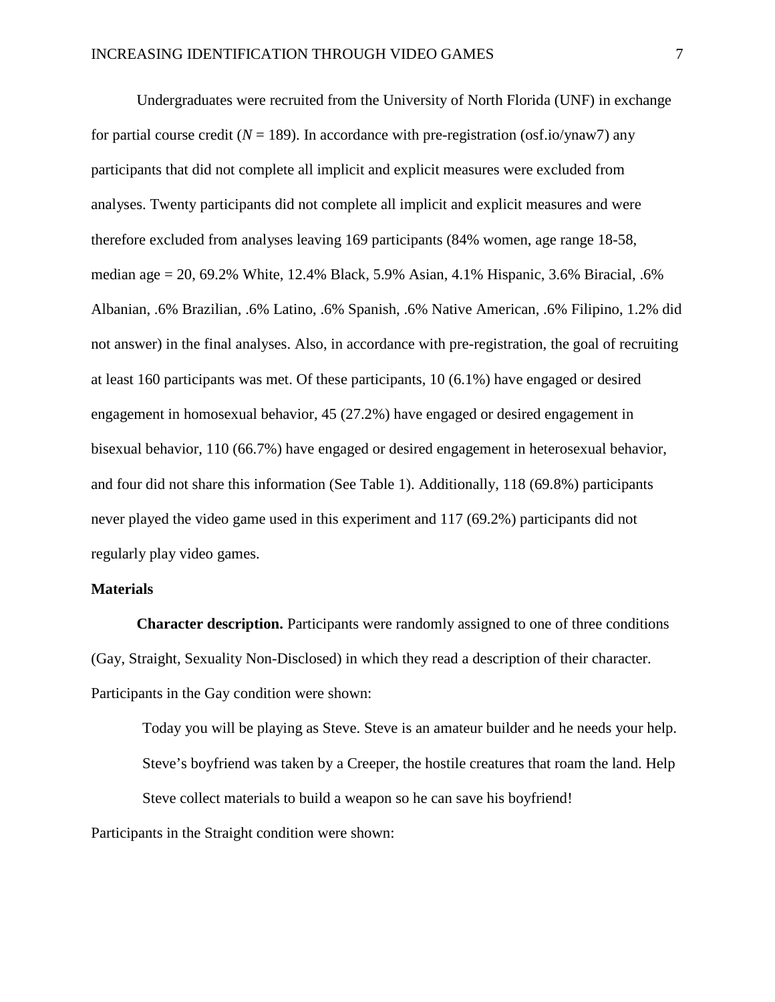Undergraduates were recruited from the University of North Florida (UNF) in exchange for partial course credit ( $N = 189$ ). In accordance with pre-registration (osf.io/ynaw7) any participants that did not complete all implicit and explicit measures were excluded from analyses. Twenty participants did not complete all implicit and explicit measures and were therefore excluded from analyses leaving 169 participants (84% women, age range 18-58, median age = 20, 69.2% White, 12.4% Black, 5.9% Asian, 4.1% Hispanic, 3.6% Biracial, .6% Albanian, .6% Brazilian, .6% Latino, .6% Spanish, .6% Native American, .6% Filipino, 1.2% did not answer) in the final analyses. Also, in accordance with pre-registration, the goal of recruiting at least 160 participants was met. Of these participants, 10 (6.1%) have engaged or desired engagement in homosexual behavior, 45 (27.2%) have engaged or desired engagement in bisexual behavior, 110 (66.7%) have engaged or desired engagement in heterosexual behavior, and four did not share this information (See Table 1). Additionally, 118 (69.8%) participants never played the video game used in this experiment and 117 (69.2%) participants did not regularly play video games.

#### **Materials**

**Character description.** Participants were randomly assigned to one of three conditions (Gay, Straight, Sexuality Non-Disclosed) in which they read a description of their character. Participants in the Gay condition were shown:

Today you will be playing as Steve. Steve is an amateur builder and he needs your help. Steve's boyfriend was taken by a Creeper, the hostile creatures that roam the land. Help Steve collect materials to build a weapon so he can save his boyfriend! Participants in the Straight condition were shown: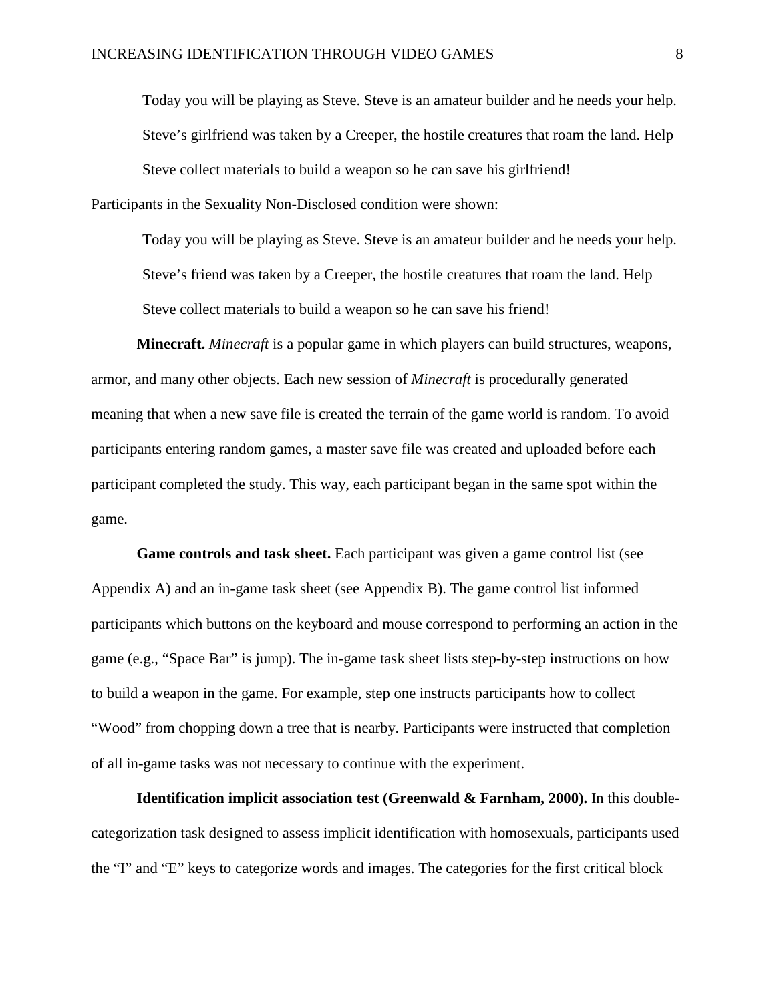Today you will be playing as Steve. Steve is an amateur builder and he needs your help. Steve's girlfriend was taken by a Creeper, the hostile creatures that roam the land. Help Steve collect materials to build a weapon so he can save his girlfriend! Participants in the Sexuality Non-Disclosed condition were shown:

Today you will be playing as Steve. Steve is an amateur builder and he needs your help. Steve's friend was taken by a Creeper, the hostile creatures that roam the land. Help Steve collect materials to build a weapon so he can save his friend!

**Minecraft.** *Minecraft* is a popular game in which players can build structures, weapons, armor, and many other objects. Each new session of *Minecraft* is procedurally generated meaning that when a new save file is created the terrain of the game world is random. To avoid participants entering random games, a master save file was created and uploaded before each participant completed the study. This way, each participant began in the same spot within the game.

**Game controls and task sheet.** Each participant was given a game control list (see Appendix A) and an in-game task sheet (see Appendix B). The game control list informed participants which buttons on the keyboard and mouse correspond to performing an action in the game (e.g., "Space Bar" is jump). The in-game task sheet lists step-by-step instructions on how to build a weapon in the game. For example, step one instructs participants how to collect "Wood" from chopping down a tree that is nearby. Participants were instructed that completion of all in-game tasks was not necessary to continue with the experiment.

**Identification implicit association test (Greenwald & Farnham, 2000).** In this doublecategorization task designed to assess implicit identification with homosexuals, participants used the "I" and "E" keys to categorize words and images. The categories for the first critical block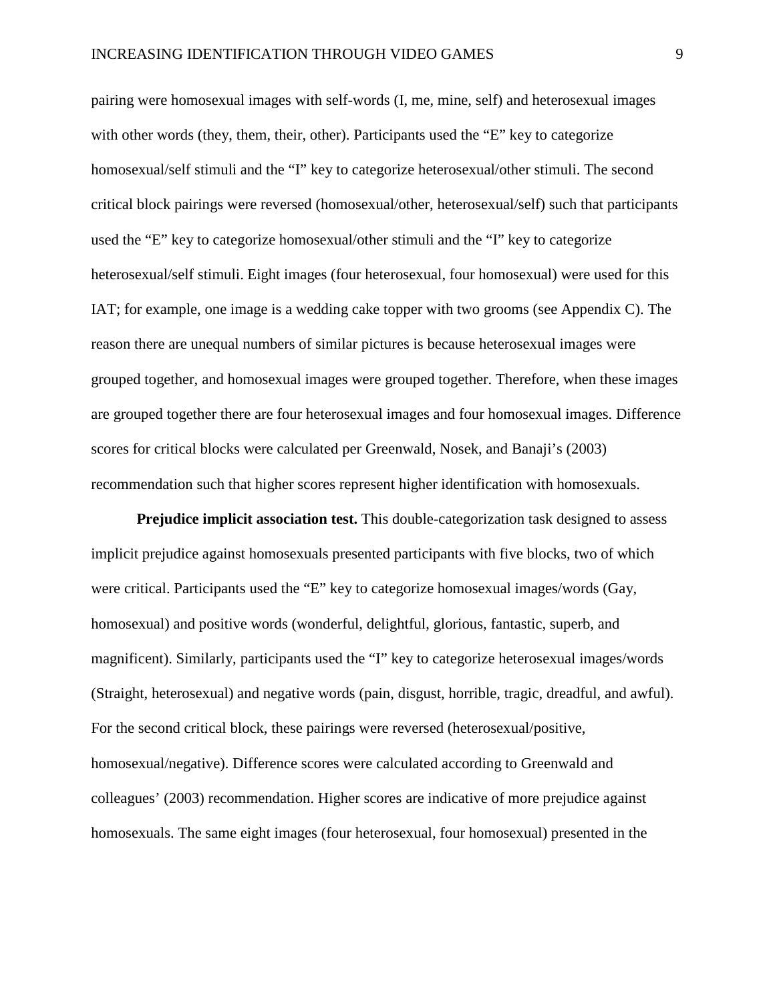pairing were homosexual images with self-words (I, me, mine, self) and heterosexual images with other words (they, them, their, other). Participants used the "E" key to categorize homosexual/self stimuli and the "I" key to categorize heterosexual/other stimuli. The second critical block pairings were reversed (homosexual/other, heterosexual/self) such that participants used the "E" key to categorize homosexual/other stimuli and the "I" key to categorize heterosexual/self stimuli. Eight images (four heterosexual, four homosexual) were used for this IAT; for example, one image is a wedding cake topper with two grooms (see Appendix C). The reason there are unequal numbers of similar pictures is because heterosexual images were grouped together, and homosexual images were grouped together. Therefore, when these images are grouped together there are four heterosexual images and four homosexual images. Difference scores for critical blocks were calculated per Greenwald, Nosek, and Banaji's (2003) recommendation such that higher scores represent higher identification with homosexuals.

**Prejudice implicit association test.** This double-categorization task designed to assess implicit prejudice against homosexuals presented participants with five blocks, two of which were critical. Participants used the "E" key to categorize homosexual images/words (Gay, homosexual) and positive words (wonderful, delightful, glorious, fantastic, superb, and magnificent). Similarly, participants used the "I" key to categorize heterosexual images/words (Straight, heterosexual) and negative words (pain, disgust, horrible, tragic, dreadful, and awful). For the second critical block, these pairings were reversed (heterosexual/positive, homosexual/negative). Difference scores were calculated according to Greenwald and colleagues' (2003) recommendation. Higher scores are indicative of more prejudice against homosexuals. The same eight images (four heterosexual, four homosexual) presented in the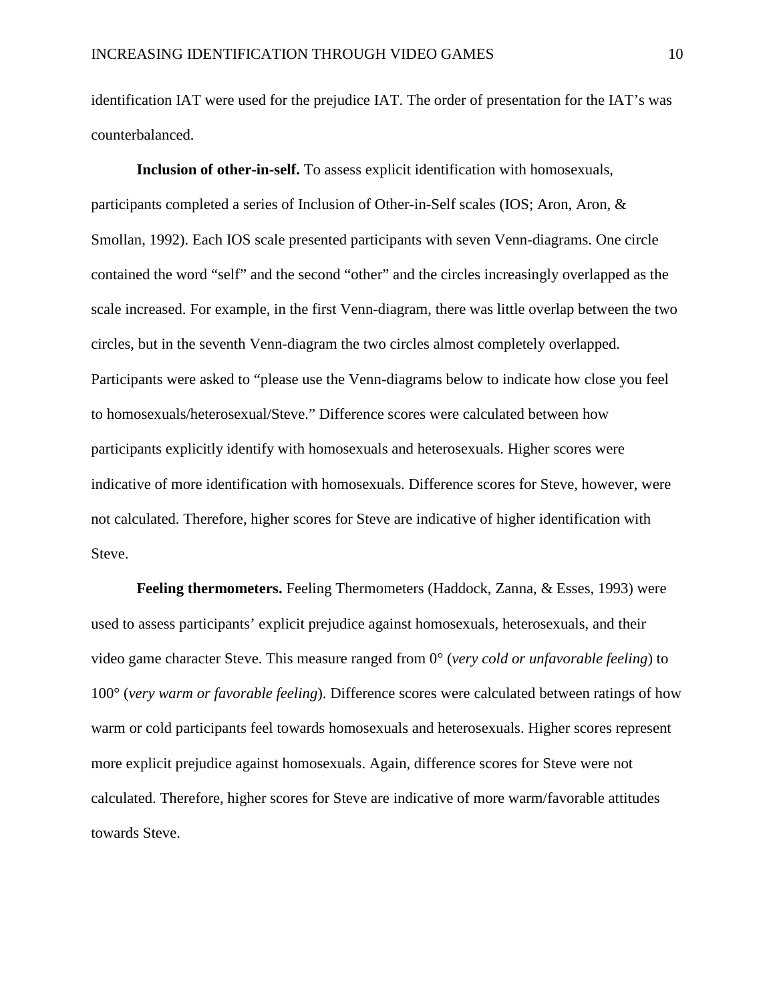identification IAT were used for the prejudice IAT. The order of presentation for the IAT's was counterbalanced.

**Inclusion of other-in-self.** To assess explicit identification with homosexuals, participants completed a series of Inclusion of Other-in-Self scales (IOS; Aron, Aron, & Smollan, 1992). Each IOS scale presented participants with seven Venn-diagrams. One circle contained the word "self" and the second "other" and the circles increasingly overlapped as the scale increased. For example, in the first Venn-diagram, there was little overlap between the two circles, but in the seventh Venn-diagram the two circles almost completely overlapped. Participants were asked to "please use the Venn-diagrams below to indicate how close you feel to homosexuals/heterosexual/Steve." Difference scores were calculated between how participants explicitly identify with homosexuals and heterosexuals. Higher scores were indicative of more identification with homosexuals. Difference scores for Steve, however, were not calculated. Therefore, higher scores for Steve are indicative of higher identification with Steve.

**Feeling thermometers.** Feeling Thermometers (Haddock, Zanna, & Esses, 1993) were used to assess participants' explicit prejudice against homosexuals, heterosexuals, and their video game character Steve. This measure ranged from 0° (*very cold or unfavorable feeling*) to 100° (*very warm or favorable feeling*). Difference scores were calculated between ratings of how warm or cold participants feel towards homosexuals and heterosexuals. Higher scores represent more explicit prejudice against homosexuals. Again, difference scores for Steve were not calculated. Therefore, higher scores for Steve are indicative of more warm/favorable attitudes towards Steve.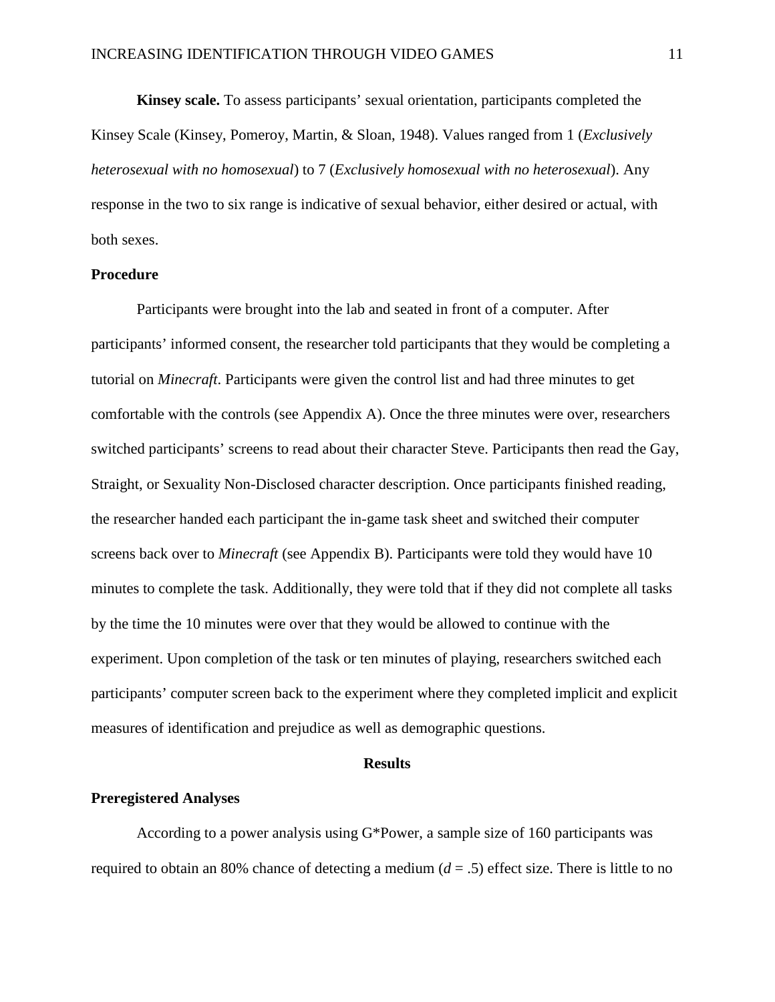**Kinsey scale.** To assess participants' sexual orientation, participants completed the Kinsey Scale (Kinsey, Pomeroy, Martin, & Sloan, 1948). Values ranged from 1 (*Exclusively heterosexual with no homosexual*) to 7 (*Exclusively homosexual with no heterosexual*). Any response in the two to six range is indicative of sexual behavior, either desired or actual, with both sexes.

#### **Procedure**

Participants were brought into the lab and seated in front of a computer. After participants' informed consent, the researcher told participants that they would be completing a tutorial on *Minecraft*. Participants were given the control list and had three minutes to get comfortable with the controls (see Appendix A). Once the three minutes were over, researchers switched participants' screens to read about their character Steve. Participants then read the Gay, Straight, or Sexuality Non-Disclosed character description. Once participants finished reading, the researcher handed each participant the in-game task sheet and switched their computer screens back over to *Minecraft* (see Appendix B). Participants were told they would have 10 minutes to complete the task. Additionally, they were told that if they did not complete all tasks by the time the 10 minutes were over that they would be allowed to continue with the experiment. Upon completion of the task or ten minutes of playing, researchers switched each participants' computer screen back to the experiment where they completed implicit and explicit measures of identification and prejudice as well as demographic questions.

#### **Results**

#### **Preregistered Analyses**

According to a power analysis using G\*Power, a sample size of 160 participants was required to obtain an 80% chance of detecting a medium  $(d = .5)$  effect size. There is little to no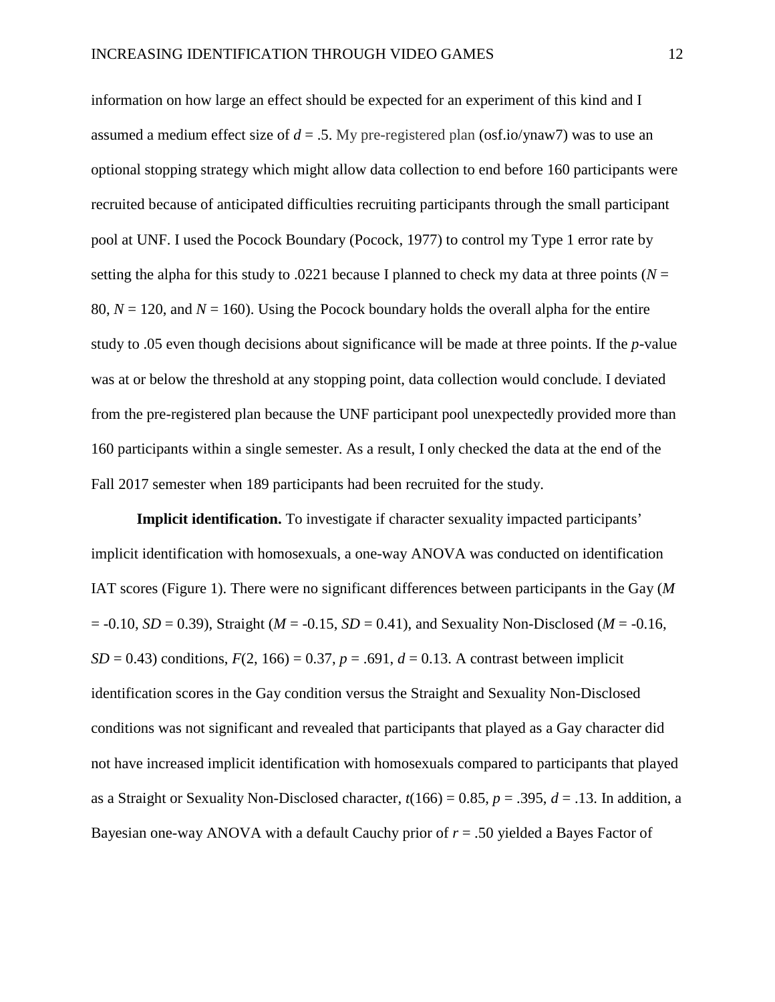information on how large an effect should be expected for an experiment of this kind and I assumed a medium effect size of  $d = 0.5$ . My pre-registered plan (osf.io/ynaw7) was to use an optional stopping strategy which might allow data collection to end before 160 participants were recruited because of anticipated difficulties recruiting participants through the small participant pool at UNF. I used the Pocock Boundary (Pocock, 1977) to control my Type 1 error rate by setting the alpha for this study to .0221 because I planned to check my data at three points ( $N =$ 80,  $N = 120$ , and  $N = 160$ ). Using the Pocock boundary holds the overall alpha for the entire study to .05 even though decisions about significance will be made at three points. If the *p*-value was at or below the threshold at any stopping point, data collection would conclude. I deviated from the pre-registered plan because the UNF participant pool unexpectedly provided more than 160 participants within a single semester. As a result, I only checked the data at the end of the Fall 2017 semester when 189 participants had been recruited for the study.

**Implicit identification.** To investigate if character sexuality impacted participants' implicit identification with homosexuals, a one-way ANOVA was conducted on identification IAT scores (Figure 1). There were no significant differences between participants in the Gay (*M*  $= -0.10$ , *SD* = 0.39), Straight (*M* = -0.15, *SD* = 0.41), and Sexuality Non-Disclosed (*M* = -0.16, *SD* = 0.43) conditions,  $F(2, 166) = 0.37$ ,  $p = .691$ ,  $d = 0.13$ . A contrast between implicit identification scores in the Gay condition versus the Straight and Sexuality Non-Disclosed conditions was not significant and revealed that participants that played as a Gay character did not have increased implicit identification with homosexuals compared to participants that played as a Straight or Sexuality Non-Disclosed character,  $t(166) = 0.85$ ,  $p = .395$ ,  $d = .13$ . In addition, a Bayesian one-way ANOVA with a default Cauchy prior of *r* = .50 yielded a Bayes Factor of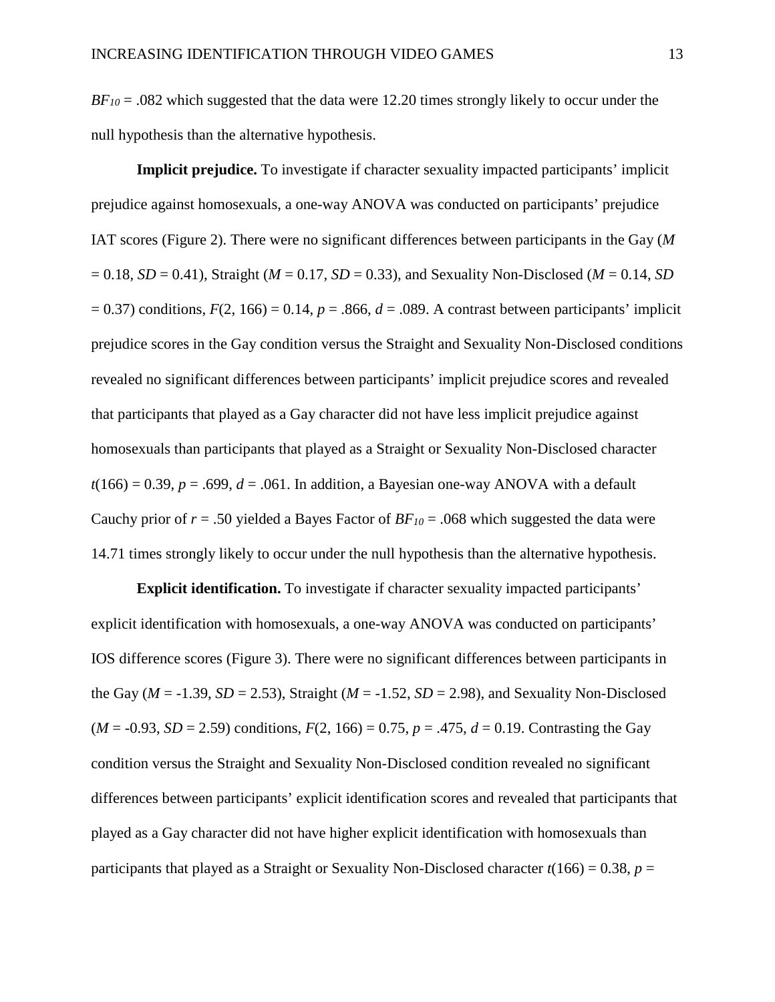*BF<sub>10</sub>* = .082 which suggested that the data were 12.20 times strongly likely to occur under the null hypothesis than the alternative hypothesis.

**Implicit prejudice.** To investigate if character sexuality impacted participants' implicit prejudice against homosexuals, a one-way ANOVA was conducted on participants' prejudice IAT scores (Figure 2). There were no significant differences between participants in the Gay (*M*  $= 0.18$ , *SD*  $= 0.41$ ), Straight (*M*  $= 0.17$ , *SD*  $= 0.33$ ), and Sexuality Non-Disclosed (*M*  $= 0.14$ , *SD*  $= 0.37$ ) conditions,  $F(2, 166) = 0.14$ ,  $p = .866$ ,  $d = .089$ . A contrast between participants' implicit prejudice scores in the Gay condition versus the Straight and Sexuality Non-Disclosed conditions revealed no significant differences between participants' implicit prejudice scores and revealed that participants that played as a Gay character did not have less implicit prejudice against homosexuals than participants that played as a Straight or Sexuality Non-Disclosed character  $t(166) = 0.39$ ,  $p = .699$ ,  $d = .061$ . In addition, a Bayesian one-way ANOVA with a default Cauchy prior of  $r = .50$  yielded a Bayes Factor of  $BF_{10} = .068$  which suggested the data were 14.71 times strongly likely to occur under the null hypothesis than the alternative hypothesis.

**Explicit identification.** To investigate if character sexuality impacted participants' explicit identification with homosexuals, a one-way ANOVA was conducted on participants' IOS difference scores (Figure 3). There were no significant differences between participants in the Gay ( $M = -1.39$ ,  $SD = 2.53$ ), Straight ( $M = -1.52$ ,  $SD = 2.98$ ), and Sexuality Non-Disclosed  $(M = -0.93, SD = 2.59)$  conditions,  $F(2, 166) = 0.75, p = .475, d = 0.19$ . Contrasting the Gay condition versus the Straight and Sexuality Non-Disclosed condition revealed no significant differences between participants' explicit identification scores and revealed that participants that played as a Gay character did not have higher explicit identification with homosexuals than participants that played as a Straight or Sexuality Non-Disclosed character  $t(166) = 0.38$ ,  $p =$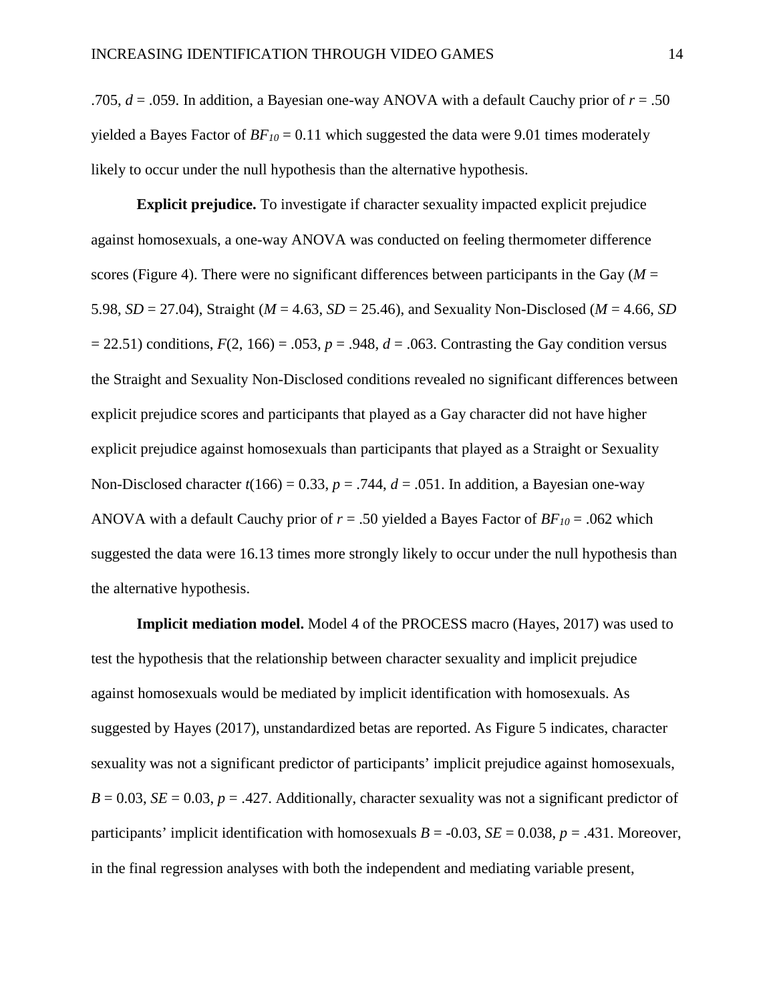.705,  $d = .059$ . In addition, a Bayesian one-way ANOVA with a default Cauchy prior of  $r = .50$ yielded a Bayes Factor of  $BF_{10} = 0.11$  which suggested the data were 9.01 times moderately likely to occur under the null hypothesis than the alternative hypothesis.

**Explicit prejudice.** To investigate if character sexuality impacted explicit prejudice against homosexuals, a one-way ANOVA was conducted on feeling thermometer difference scores (Figure 4). There were no significant differences between participants in the Gay  $(M =$ 5.98, *SD* = 27.04), Straight (*M* = 4.63, *SD* = 25.46), and Sexuality Non-Disclosed (*M* = 4.66, *SD*   $= 22.51$ ) conditions,  $F(2, 166) = .053$ ,  $p = .948$ ,  $d = .063$ . Contrasting the Gay condition versus the Straight and Sexuality Non-Disclosed conditions revealed no significant differences between explicit prejudice scores and participants that played as a Gay character did not have higher explicit prejudice against homosexuals than participants that played as a Straight or Sexuality Non-Disclosed character  $t(166) = 0.33$ ,  $p = .744$ ,  $d = .051$ . In addition, a Bayesian one-way ANOVA with a default Cauchy prior of  $r = .50$  yielded a Bayes Factor of  $BF_{10} = .062$  which suggested the data were 16.13 times more strongly likely to occur under the null hypothesis than the alternative hypothesis.

**Implicit mediation model.** Model 4 of the PROCESS macro (Hayes, 2017) was used to test the hypothesis that the relationship between character sexuality and implicit prejudice against homosexuals would be mediated by implicit identification with homosexuals. As suggested by Hayes (2017), unstandardized betas are reported. As Figure 5 indicates, character sexuality was not a significant predictor of participants' implicit prejudice against homosexuals,  $B = 0.03$ ,  $SE = 0.03$ ,  $p = .427$ . Additionally, character sexuality was not a significant predictor of participants' implicit identification with homosexuals  $B = -0.03$ ,  $SE = 0.038$ ,  $p = .431$ . Moreover, in the final regression analyses with both the independent and mediating variable present,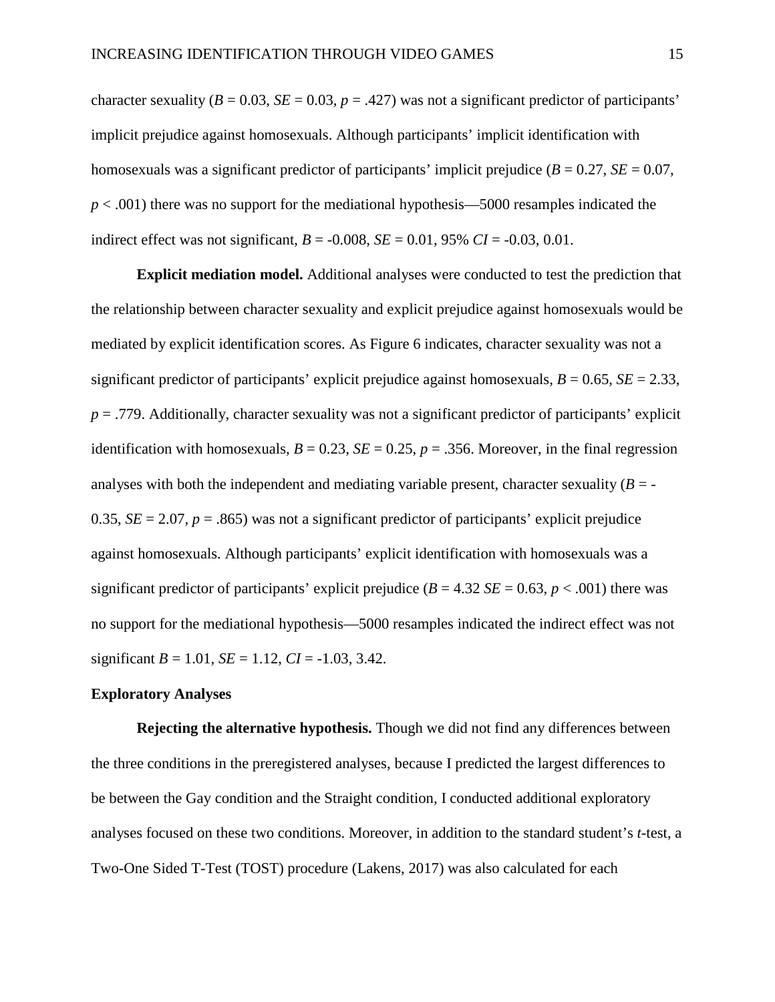character sexuality ( $B = 0.03$ ,  $SE = 0.03$ ,  $p = .427$ ) was not a significant predictor of participants' implicit prejudice against homosexuals. Although participants' implicit identification with homosexuals was a significant predictor of participants' implicit prejudice  $(B = 0.27, SE = 0.07,$ *p* < .001) there was no support for the mediational hypothesis—5000 resamples indicated the indirect effect was not significant,  $B = -0.008$ ,  $SE = 0.01$ , 95%  $CI = -0.03$ , 0.01.

**Explicit mediation model.** Additional analyses were conducted to test the prediction that the relationship between character sexuality and explicit prejudice against homosexuals would be mediated by explicit identification scores. As Figure 6 indicates, character sexuality was not a significant predictor of participants' explicit prejudice against homosexuals,  $B = 0.65$ ,  $SE = 2.33$ ,  $p = .779$ . Additionally, character sexuality was not a significant predictor of participants' explicit identification with homosexuals,  $B = 0.23$ ,  $SE = 0.25$ ,  $p = .356$ . Moreover, in the final regression analyses with both the independent and mediating variable present, character sexuality  $(B = -1)$ 0.35,  $SE = 2.07$ ,  $p = .865$ ) was not a significant predictor of participants' explicit prejudice against homosexuals. Although participants' explicit identification with homosexuals was a significant predictor of participants' explicit prejudice  $(B = 4.32 \text{ } SE = 0.63, p < .001)$  there was no support for the mediational hypothesis—5000 resamples indicated the indirect effect was not significant  $B = 1.01$ ,  $SE = 1.12$ ,  $CI = -1.03$ , 3.42.

#### **Exploratory Analyses**

**Rejecting the alternative hypothesis.** Though we did not find any differences between the three conditions in the preregistered analyses, because I predicted the largest differences to be between the Gay condition and the Straight condition, I conducted additional exploratory analyses focused on these two conditions. Moreover, in addition to the standard student's *t*-test, a Two-One Sided T-Test (TOST) procedure (Lakens, 2017) was also calculated for each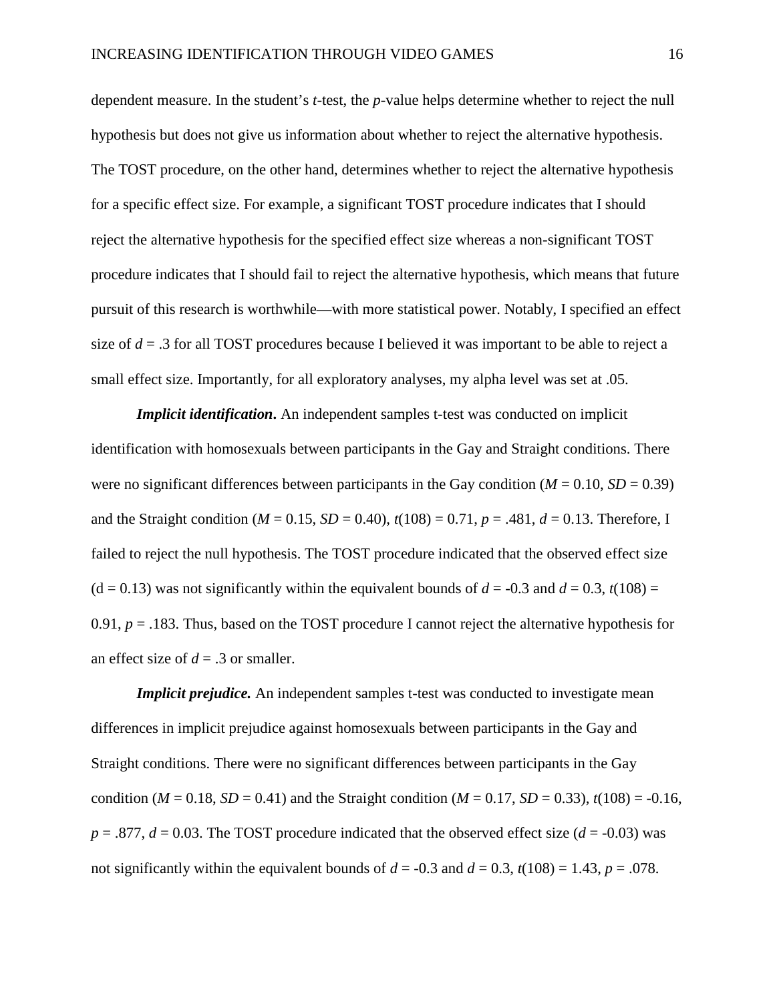dependent measure. In the student's *t*-test, the *p*-value helps determine whether to reject the null hypothesis but does not give us information about whether to reject the alternative hypothesis. The TOST procedure, on the other hand, determines whether to reject the alternative hypothesis for a specific effect size. For example, a significant TOST procedure indicates that I should reject the alternative hypothesis for the specified effect size whereas a non-significant TOST procedure indicates that I should fail to reject the alternative hypothesis, which means that future pursuit of this research is worthwhile—with more statistical power. Notably, I specified an effect size of  $d = 0.3$  for all TOST procedures because I believed it was important to be able to reject a small effect size. Importantly, for all exploratory analyses, my alpha level was set at .05.

*Implicit identification***.** An independent samples t-test was conducted on implicit identification with homosexuals between participants in the Gay and Straight conditions. There were no significant differences between participants in the Gay condition  $(M = 0.10, SD = 0.39)$ and the Straight condition ( $M = 0.15$ ,  $SD = 0.40$ ),  $t(108) = 0.71$ ,  $p = .481$ ,  $d = 0.13$ . Therefore, I failed to reject the null hypothesis. The TOST procedure indicated that the observed effect size  $(d = 0.13)$  was not significantly within the equivalent bounds of  $d = -0.3$  and  $d = 0.3$ ,  $t(108) =$ 0.91,  $p = 0.183$ . Thus, based on the TOST procedure I cannot reject the alternative hypothesis for an effect size of  $d = .3$  or smaller.

*Implicit prejudice*. An independent samples t-test was conducted to investigate mean differences in implicit prejudice against homosexuals between participants in the Gay and Straight conditions. There were no significant differences between participants in the Gay condition (*M* = 0.18, *SD* = 0.41) and the Straight condition (*M* = 0.17, *SD* = 0.33),  $t(108)$  = -0.16,  $p = .877$ ,  $d = 0.03$ . The TOST procedure indicated that the observed effect size ( $d = -0.03$ ) was not significantly within the equivalent bounds of  $d = -0.3$  and  $d = 0.3$ ,  $t(108) = 1.43$ ,  $p = .078$ .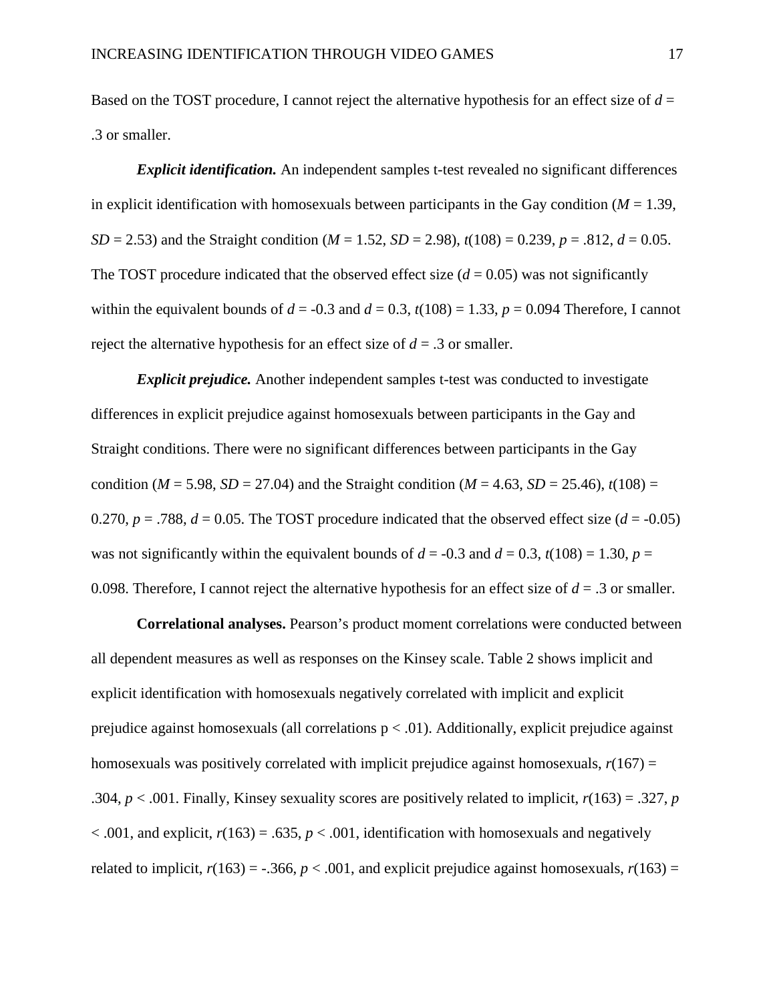Based on the TOST procedure, I cannot reject the alternative hypothesis for an effect size of *d* = .3 or smaller.

*Explicit identification.* An independent samples t-test revealed no significant differences in explicit identification with homosexuals between participants in the Gay condition  $(M = 1.39)$ , *SD* = 2.53) and the Straight condition (*M* = 1.52, *SD* = 2.98),  $t(108)$  = 0.239, *p* = .812, *d* = 0.05. The TOST procedure indicated that the observed effect size  $(d = 0.05)$  was not significantly within the equivalent bounds of  $d = -0.3$  and  $d = 0.3$ ,  $t(108) = 1.33$ ,  $p = 0.094$  Therefore, I cannot reject the alternative hypothesis for an effect size of  $d = .3$  or smaller.

*Explicit prejudice.* Another independent samples t-test was conducted to investigate differences in explicit prejudice against homosexuals between participants in the Gay and Straight conditions. There were no significant differences between participants in the Gay condition ( $M = 5.98$ ,  $SD = 27.04$ ) and the Straight condition ( $M = 4.63$ ,  $SD = 25.46$ ),  $t(108) =$ 0.270,  $p = .788$ ,  $d = 0.05$ . The TOST procedure indicated that the observed effect size ( $d = -0.05$ ) was not significantly within the equivalent bounds of  $d = -0.3$  and  $d = 0.3$ ,  $t(108) = 1.30$ ,  $p =$ 0.098. Therefore, I cannot reject the alternative hypothesis for an effect size of  $d = .3$  or smaller.

**Correlational analyses.** Pearson's product moment correlations were conducted between all dependent measures as well as responses on the Kinsey scale. Table 2 shows implicit and explicit identification with homosexuals negatively correlated with implicit and explicit prejudice against homosexuals (all correlations  $p < .01$ ). Additionally, explicit prejudice against homosexuals was positively correlated with implicit prejudice against homosexuals,  $r(167) =$ .304, *p* < .001. Finally, Kinsey sexuality scores are positively related to implicit, *r*(163) = .327, *p*   $< .001$ , and explicit,  $r(163) = .635$ ,  $p < .001$ , identification with homosexuals and negatively related to implicit,  $r(163) = -.366$ ,  $p < .001$ , and explicit prejudice against homosexuals,  $r(163) =$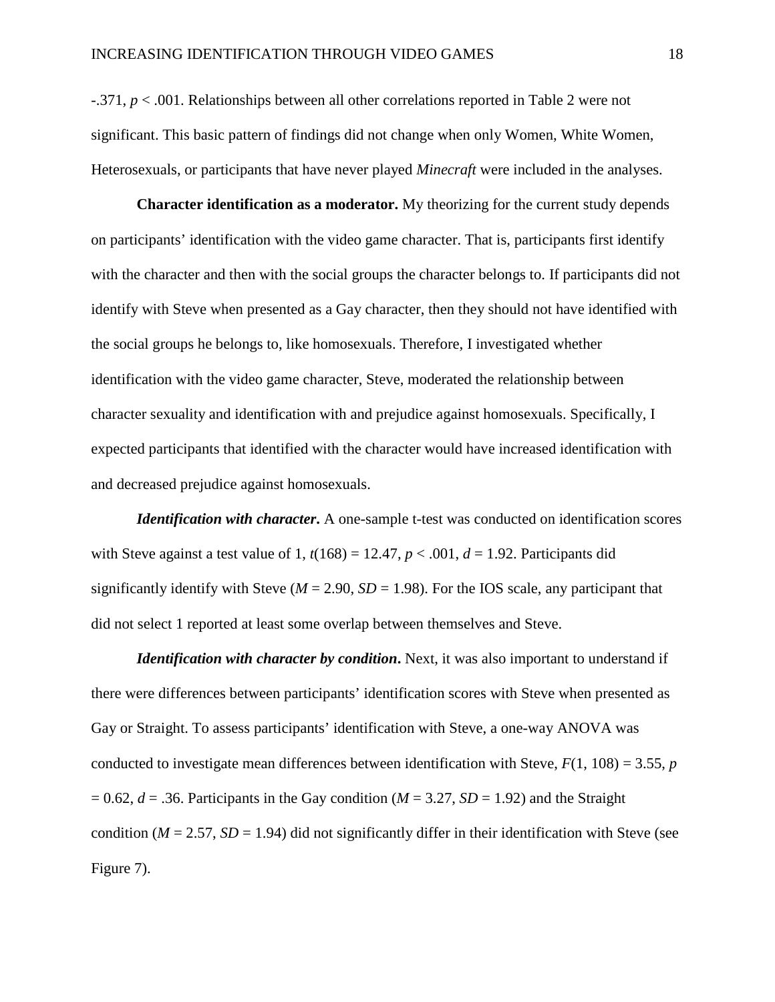-.371, *p* < .001. Relationships between all other correlations reported in Table 2 were not significant. This basic pattern of findings did not change when only Women, White Women, Heterosexuals, or participants that have never played *Minecraft* were included in the analyses.

**Character identification as a moderator.** My theorizing for the current study depends on participants' identification with the video game character. That is, participants first identify with the character and then with the social groups the character belongs to. If participants did not identify with Steve when presented as a Gay character, then they should not have identified with the social groups he belongs to, like homosexuals. Therefore, I investigated whether identification with the video game character, Steve, moderated the relationship between character sexuality and identification with and prejudice against homosexuals. Specifically, I expected participants that identified with the character would have increased identification with and decreased prejudice against homosexuals.

*Identification with character*. A one-sample t-test was conducted on identification scores with Steve against a test value of 1,  $t(168) = 12.47$ ,  $p < .001$ ,  $d = 1.92$ . Participants did significantly identify with Steve ( $M = 2.90$ ,  $SD = 1.98$ ). For the IOS scale, any participant that did not select 1 reported at least some overlap between themselves and Steve.

*Identification with character by condition*. Next, it was also important to understand if there were differences between participants' identification scores with Steve when presented as Gay or Straight. To assess participants' identification with Steve, a one-way ANOVA was conducted to investigate mean differences between identification with Steve,  $F(1, 108) = 3.55$ , *p*  $= 0.62$ ,  $d = .36$ . Participants in the Gay condition ( $M = 3.27$ ,  $SD = 1.92$ ) and the Straight condition ( $M = 2.57$ ,  $SD = 1.94$ ) did not significantly differ in their identification with Steve (see Figure 7).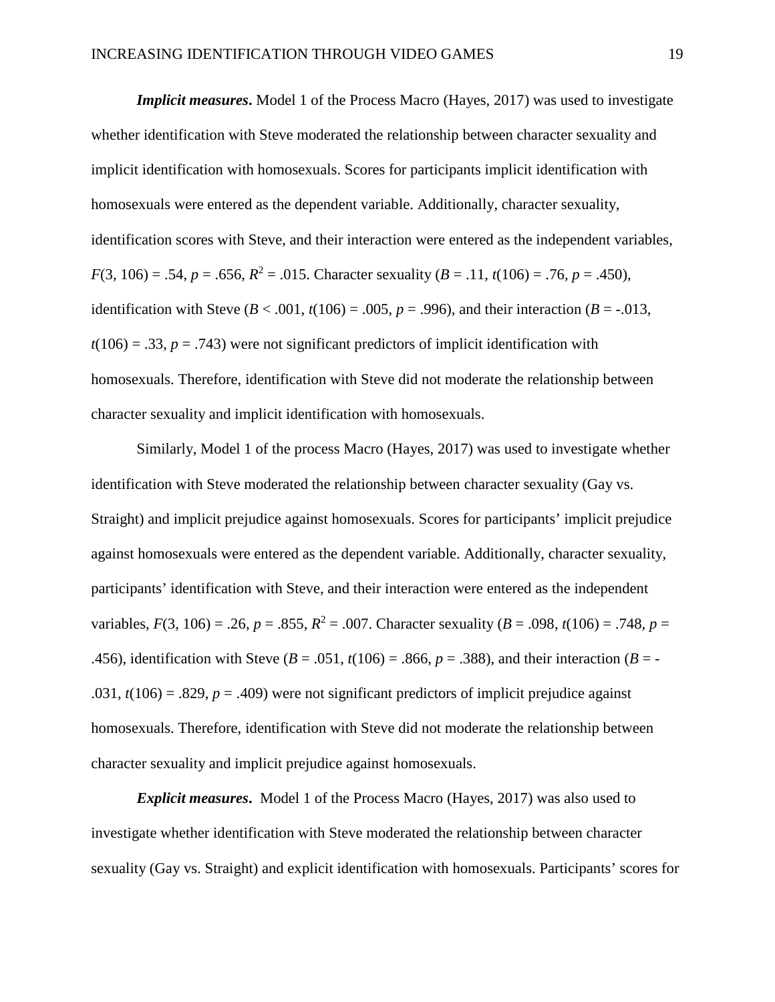*Implicit measures***.** Model 1 of the Process Macro (Hayes, 2017) was used to investigate whether identification with Steve moderated the relationship between character sexuality and implicit identification with homosexuals. Scores for participants implicit identification with homosexuals were entered as the dependent variable. Additionally, character sexuality, identification scores with Steve, and their interaction were entered as the independent variables, *F*(3, 106) = .54, *p* = .656,  $R^2$  = .015. Character sexuality (*B* = .11, *t*(106) = .76, *p* = .450), identification with Steve ( $B < .001$ ,  $t(106) = .005$ ,  $p = .996$ ), and their interaction ( $B = .013$ ,  $t(106) = .33$ ,  $p = .743$ ) were not significant predictors of implicit identification with homosexuals. Therefore, identification with Steve did not moderate the relationship between character sexuality and implicit identification with homosexuals.

 Similarly, Model 1 of the process Macro (Hayes, 2017) was used to investigate whether identification with Steve moderated the relationship between character sexuality (Gay vs. Straight) and implicit prejudice against homosexuals. Scores for participants' implicit prejudice against homosexuals were entered as the dependent variable. Additionally, character sexuality, participants' identification with Steve, and their interaction were entered as the independent variables,  $F(3, 106) = .26$ ,  $p = .855$ ,  $R^2 = .007$ . Character sexuality ( $B = .098$ ,  $t(106) = .748$ ,  $p =$ .456), identification with Steve ( $B = .051$ ,  $t(106) = .866$ ,  $p = .388$ ), and their interaction ( $B = -$ .031,  $t(106) = .829$ ,  $p = .409$ ) were not significant predictors of implicit prejudice against homosexuals. Therefore, identification with Steve did not moderate the relationship between character sexuality and implicit prejudice against homosexuals.

*Explicit measures***.** Model 1 of the Process Macro (Hayes, 2017) was also used to investigate whether identification with Steve moderated the relationship between character sexuality (Gay vs. Straight) and explicit identification with homosexuals. Participants' scores for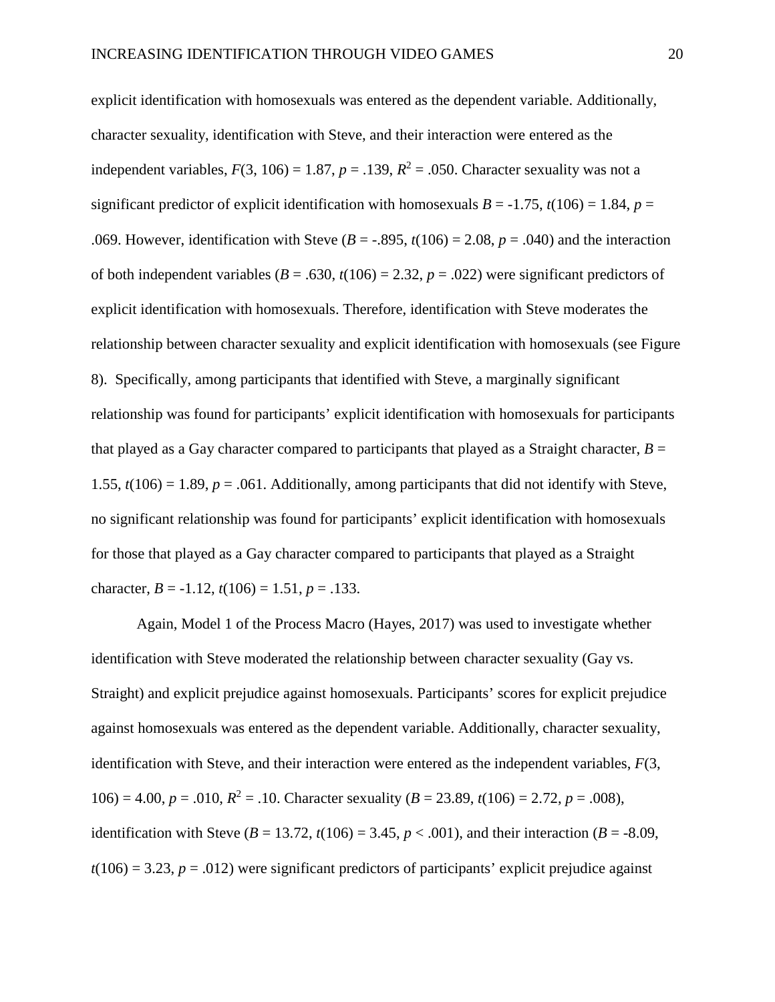explicit identification with homosexuals was entered as the dependent variable. Additionally, character sexuality, identification with Steve, and their interaction were entered as the independent variables,  $F(3, 106) = 1.87$ ,  $p = .139$ ,  $R^2 = .050$ . Character sexuality was not a significant predictor of explicit identification with homosexuals  $B = -1.75$ ,  $t(106) = 1.84$ ,  $p =$ .069. However, identification with Steve  $(B = -0.895, t(106) = 2.08, p = 0.040)$  and the interaction of both independent variables ( $B = .630$ ,  $t(106) = 2.32$ ,  $p = .022$ ) were significant predictors of explicit identification with homosexuals. Therefore, identification with Steve moderates the relationship between character sexuality and explicit identification with homosexuals (see Figure 8). Specifically, among participants that identified with Steve, a marginally significant relationship was found for participants' explicit identification with homosexuals for participants that played as a Gay character compared to participants that played as a Straight character,  $B =$ 1.55,  $t(106) = 1.89$ ,  $p = .061$ . Additionally, among participants that did not identify with Steve, no significant relationship was found for participants' explicit identification with homosexuals for those that played as a Gay character compared to participants that played as a Straight character,  $B = -1.12$ ,  $t(106) = 1.51$ ,  $p = .133$ .

Again, Model 1 of the Process Macro (Hayes, 2017) was used to investigate whether identification with Steve moderated the relationship between character sexuality (Gay vs. Straight) and explicit prejudice against homosexuals. Participants' scores for explicit prejudice against homosexuals was entered as the dependent variable. Additionally, character sexuality, identification with Steve, and their interaction were entered as the independent variables, *F*(3, 106) = 4.00,  $p = .010$ ,  $R^2 = .10$ . Character sexuality ( $B = 23.89$ ,  $t(106) = 2.72$ ,  $p = .008$ ), identification with Steve ( $B = 13.72$ ,  $t(106) = 3.45$ ,  $p < .001$ ), and their interaction ( $B = -8.09$ ,  $t(106) = 3.23$ ,  $p = .012$ ) were significant predictors of participants' explicit prejudice against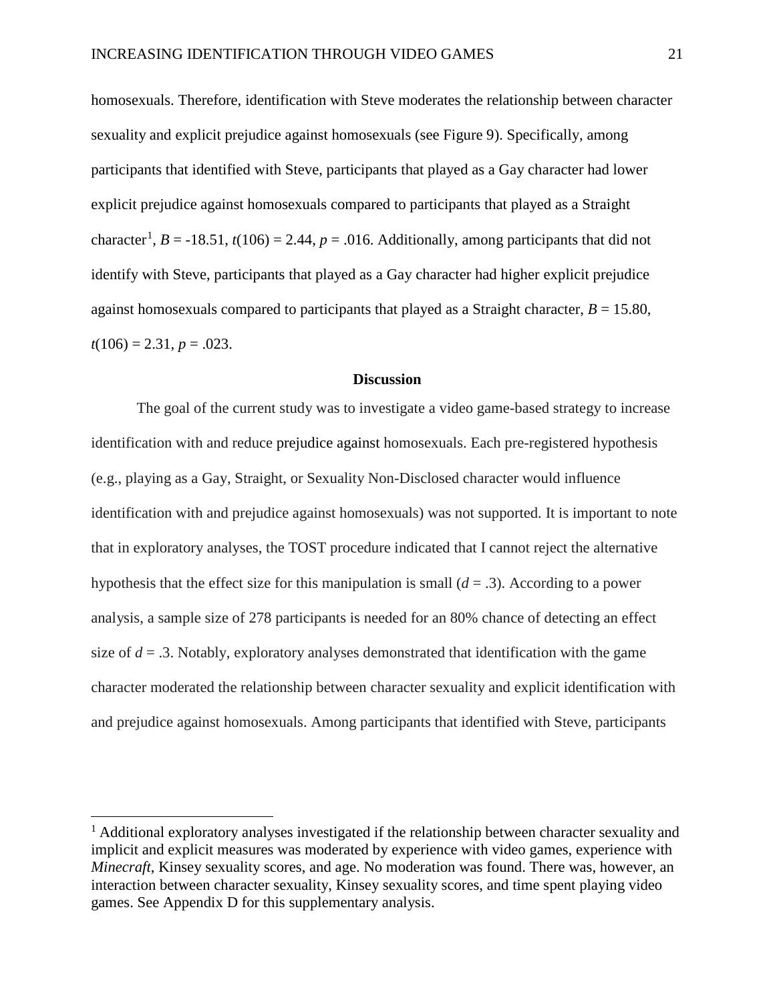homosexuals. Therefore, identification with Steve moderates the relationship between character sexuality and explicit prejudice against homosexuals (see Figure 9). Specifically, among participants that identified with Steve, participants that played as a Gay character had lower explicit prejudice against homosexuals compared to participants that played as a Straight character<sup>[1](#page-27-0)</sup>, *B* = -18.51, *t*(106) = 2.44, *p* = .016. Additionally, among participants that did not identify with Steve, participants that played as a Gay character had higher explicit prejudice against homosexuals compared to participants that played as a Straight character,  $B = 15.80$ ,  $t(106) = 2.31, p = .023.$ 

#### **Discussion**

The goal of the current study was to investigate a video game-based strategy to increase identification with and reduce prejudice against homosexuals. Each pre-registered hypothesis (e.g., playing as a Gay, Straight, or Sexuality Non-Disclosed character would influence identification with and prejudice against homosexuals) was not supported. It is important to note that in exploratory analyses, the TOST procedure indicated that I cannot reject the alternative hypothesis that the effect size for this manipulation is small (*d* = .3). According to a power analysis, a sample size of 278 participants is needed for an 80% chance of detecting an effect size of  $d = 0.3$ . Notably, exploratory analyses demonstrated that identification with the game character moderated the relationship between character sexuality and explicit identification with and prejudice against homosexuals. Among participants that identified with Steve, participants

 $\overline{a}$ 

<span id="page-27-0"></span><sup>&</sup>lt;sup>1</sup> Additional exploratory analyses investigated if the relationship between character sexuality and implicit and explicit measures was moderated by experience with video games, experience with *Minecraft*, Kinsey sexuality scores, and age. No moderation was found. There was, however, an interaction between character sexuality, Kinsey sexuality scores, and time spent playing video games. See Appendix D for this supplementary analysis.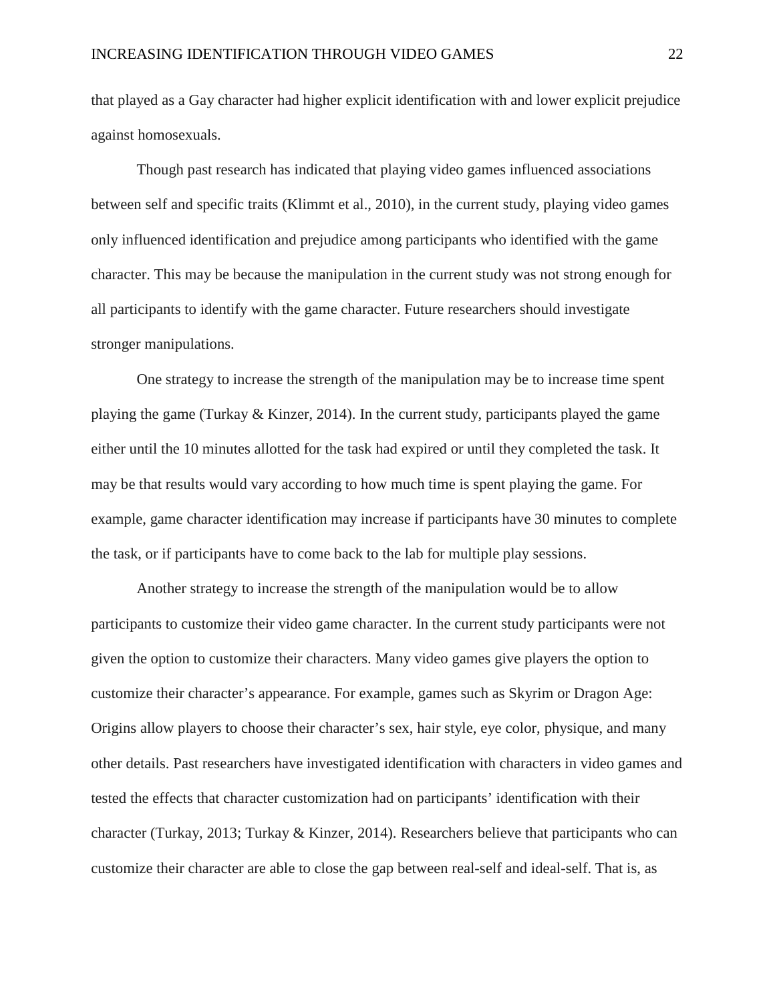that played as a Gay character had higher explicit identification with and lower explicit prejudice against homosexuals.

Though past research has indicated that playing video games influenced associations between self and specific traits (Klimmt et al., 2010), in the current study, playing video games only influenced identification and prejudice among participants who identified with the game character. This may be because the manipulation in the current study was not strong enough for all participants to identify with the game character. Future researchers should investigate stronger manipulations.

One strategy to increase the strength of the manipulation may be to increase time spent playing the game (Turkay & Kinzer, 2014). In the current study, participants played the game either until the 10 minutes allotted for the task had expired or until they completed the task. It may be that results would vary according to how much time is spent playing the game. For example, game character identification may increase if participants have 30 minutes to complete the task, or if participants have to come back to the lab for multiple play sessions.

Another strategy to increase the strength of the manipulation would be to allow participants to customize their video game character. In the current study participants were not given the option to customize their characters. Many video games give players the option to customize their character's appearance. For example, games such as Skyrim or Dragon Age: Origins allow players to choose their character's sex, hair style, eye color, physique, and many other details. Past researchers have investigated identification with characters in video games and tested the effects that character customization had on participants' identification with their character (Turkay, 2013; Turkay & Kinzer, 2014). Researchers believe that participants who can customize their character are able to close the gap between real-self and ideal-self. That is, as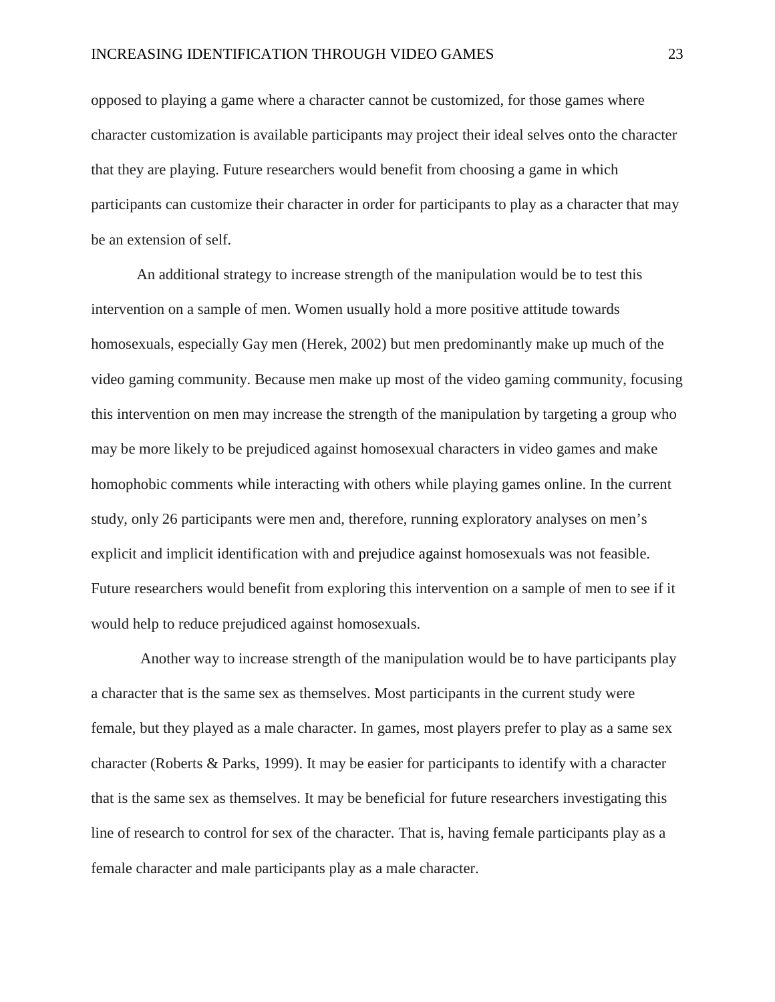opposed to playing a game where a character cannot be customized, for those games where character customization is available participants may project their ideal selves onto the character that they are playing. Future researchers would benefit from choosing a game in which participants can customize their character in order for participants to play as a character that may be an extension of self.

An additional strategy to increase strength of the manipulation would be to test this intervention on a sample of men. Women usually hold a more positive attitude towards homosexuals, especially Gay men (Herek, 2002) but men predominantly make up much of the video gaming community. Because men make up most of the video gaming community, focusing this intervention on men may increase the strength of the manipulation by targeting a group who may be more likely to be prejudiced against homosexual characters in video games and make homophobic comments while interacting with others while playing games online. In the current study, only 26 participants were men and, therefore, running exploratory analyses on men's explicit and implicit identification with and prejudice against homosexuals was not feasible. Future researchers would benefit from exploring this intervention on a sample of men to see if it would help to reduce prejudiced against homosexuals.

 Another way to increase strength of the manipulation would be to have participants play a character that is the same sex as themselves. Most participants in the current study were female, but they played as a male character. In games, most players prefer to play as a same sex character (Roberts & Parks, 1999). It may be easier for participants to identify with a character that is the same sex as themselves. It may be beneficial for future researchers investigating this line of research to control for sex of the character. That is, having female participants play as a female character and male participants play as a male character.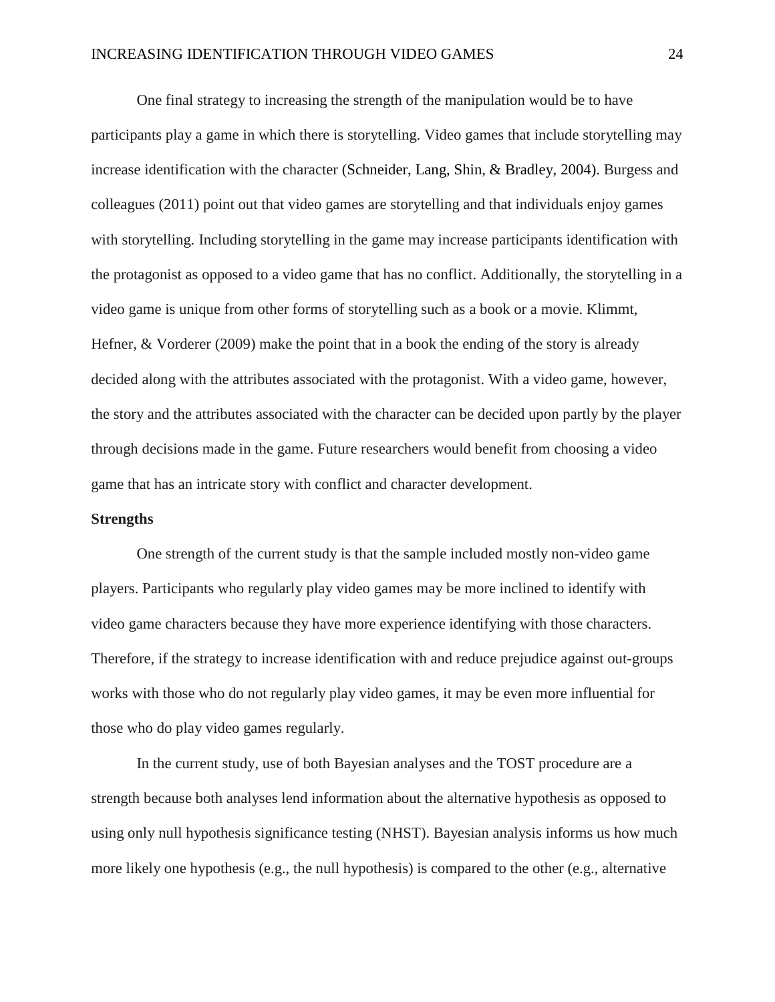One final strategy to increasing the strength of the manipulation would be to have participants play a game in which there is storytelling. Video games that include storytelling may increase identification with the character (Schneider, Lang, Shin, & Bradley, 2004). Burgess and colleagues (2011) point out that video games are storytelling and that individuals enjoy games with storytelling. Including storytelling in the game may increase participants identification with the protagonist as opposed to a video game that has no conflict. Additionally, the storytelling in a video game is unique from other forms of storytelling such as a book or a movie. Klimmt, Hefner, & Vorderer (2009) make the point that in a book the ending of the story is already decided along with the attributes associated with the protagonist. With a video game, however, the story and the attributes associated with the character can be decided upon partly by the player through decisions made in the game. Future researchers would benefit from choosing a video game that has an intricate story with conflict and character development.

#### **Strengths**

One strength of the current study is that the sample included mostly non-video game players. Participants who regularly play video games may be more inclined to identify with video game characters because they have more experience identifying with those characters. Therefore, if the strategy to increase identification with and reduce prejudice against out-groups works with those who do not regularly play video games, it may be even more influential for those who do play video games regularly.

In the current study, use of both Bayesian analyses and the TOST procedure are a strength because both analyses lend information about the alternative hypothesis as opposed to using only null hypothesis significance testing (NHST). Bayesian analysis informs us how much more likely one hypothesis (e.g., the null hypothesis) is compared to the other (e.g., alternative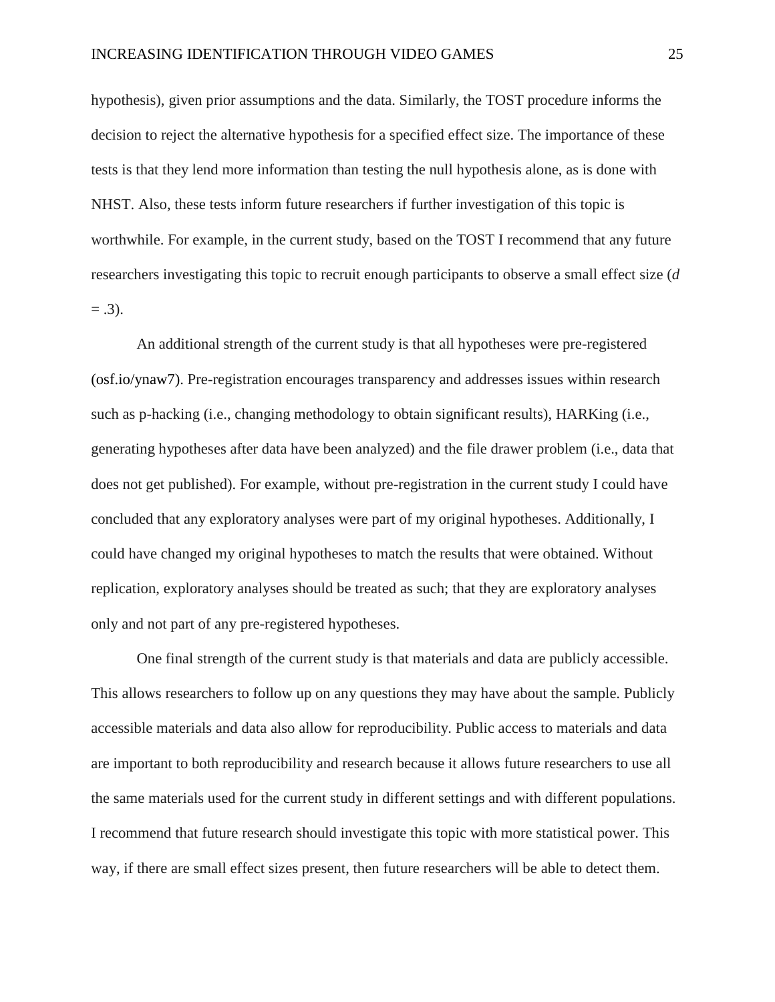hypothesis), given prior assumptions and the data. Similarly, the TOST procedure informs the decision to reject the alternative hypothesis for a specified effect size. The importance of these tests is that they lend more information than testing the null hypothesis alone, as is done with NHST. Also, these tests inform future researchers if further investigation of this topic is worthwhile. For example, in the current study, based on the TOST I recommend that any future researchers investigating this topic to recruit enough participants to observe a small effect size (*d*  $= .3$ ).

An additional strength of the current study is that all hypotheses were pre-registered (osf.io/ynaw7). Pre-registration encourages transparency and addresses issues within research such as p-hacking (i.e., changing methodology to obtain significant results), HARKing (i.e., generating hypotheses after data have been analyzed) and the file drawer problem (i.e., data that does not get published). For example, without pre-registration in the current study I could have concluded that any exploratory analyses were part of my original hypotheses. Additionally, I could have changed my original hypotheses to match the results that were obtained. Without replication, exploratory analyses should be treated as such; that they are exploratory analyses only and not part of any pre-registered hypotheses.

One final strength of the current study is that materials and data are publicly accessible. This allows researchers to follow up on any questions they may have about the sample. Publicly accessible materials and data also allow for reproducibility. Public access to materials and data are important to both reproducibility and research because it allows future researchers to use all the same materials used for the current study in different settings and with different populations. I recommend that future research should investigate this topic with more statistical power. This way, if there are small effect sizes present, then future researchers will be able to detect them.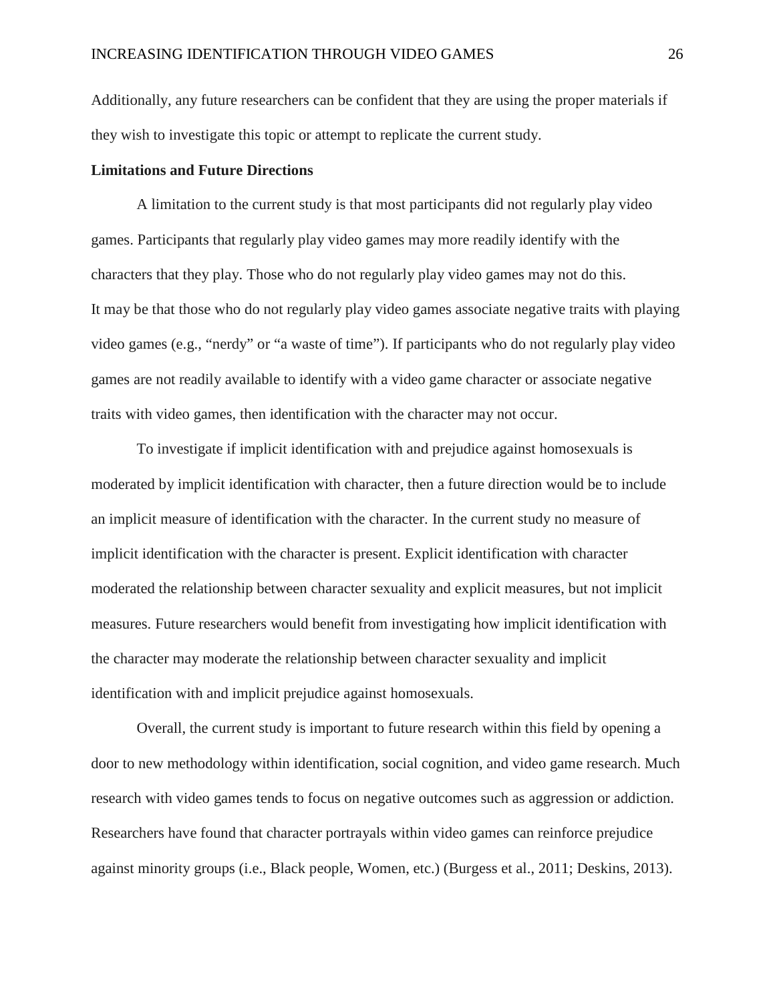Additionally, any future researchers can be confident that they are using the proper materials if they wish to investigate this topic or attempt to replicate the current study.

#### **Limitations and Future Directions**

A limitation to the current study is that most participants did not regularly play video games. Participants that regularly play video games may more readily identify with the characters that they play. Those who do not regularly play video games may not do this. It may be that those who do not regularly play video games associate negative traits with playing video games (e.g., "nerdy" or "a waste of time"). If participants who do not regularly play video games are not readily available to identify with a video game character or associate negative traits with video games, then identification with the character may not occur.

To investigate if implicit identification with and prejudice against homosexuals is moderated by implicit identification with character, then a future direction would be to include an implicit measure of identification with the character. In the current study no measure of implicit identification with the character is present. Explicit identification with character moderated the relationship between character sexuality and explicit measures, but not implicit measures. Future researchers would benefit from investigating how implicit identification with the character may moderate the relationship between character sexuality and implicit identification with and implicit prejudice against homosexuals.

Overall, the current study is important to future research within this field by opening a door to new methodology within identification, social cognition, and video game research. Much research with video games tends to focus on negative outcomes such as aggression or addiction. Researchers have found that character portrayals within video games can reinforce prejudice against minority groups (i.e., Black people, Women, etc.) (Burgess et al., 2011; Deskins, 2013).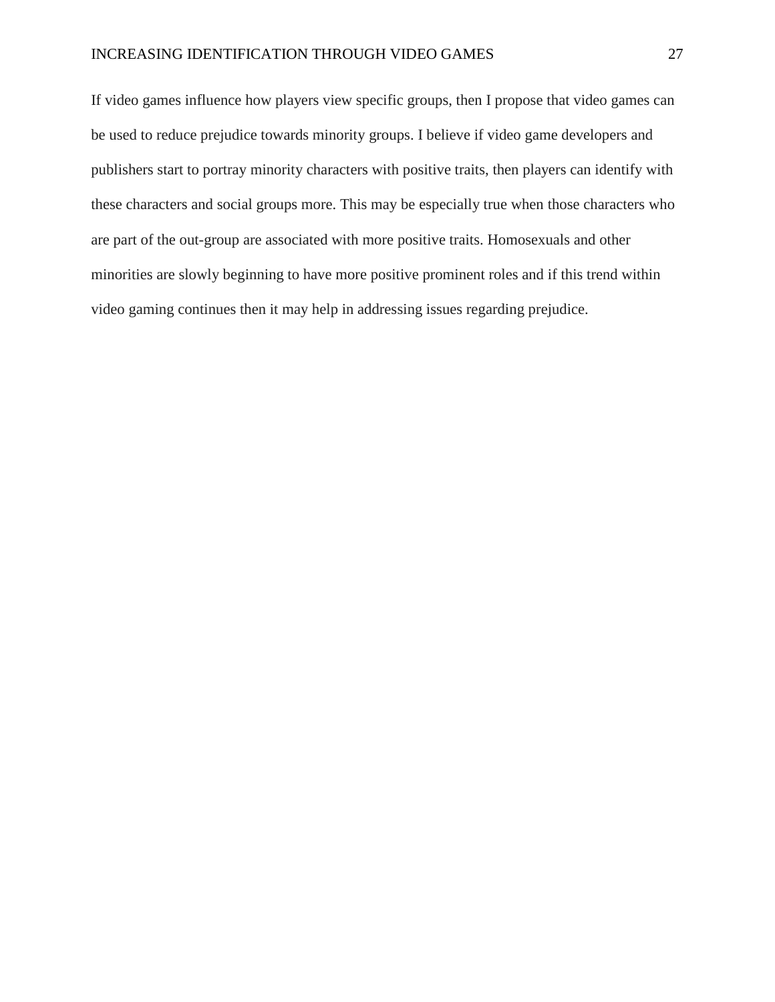#### INCREASING IDENTIFICATION THROUGH VIDEO GAMES 27

If video games influence how players view specific groups, then I propose that video games can be used to reduce prejudice towards minority groups. I believe if video game developers and publishers start to portray minority characters with positive traits, then players can identify with these characters and social groups more. This may be especially true when those characters who are part of the out-group are associated with more positive traits. Homosexuals and other minorities are slowly beginning to have more positive prominent roles and if this trend within video gaming continues then it may help in addressing issues regarding prejudice.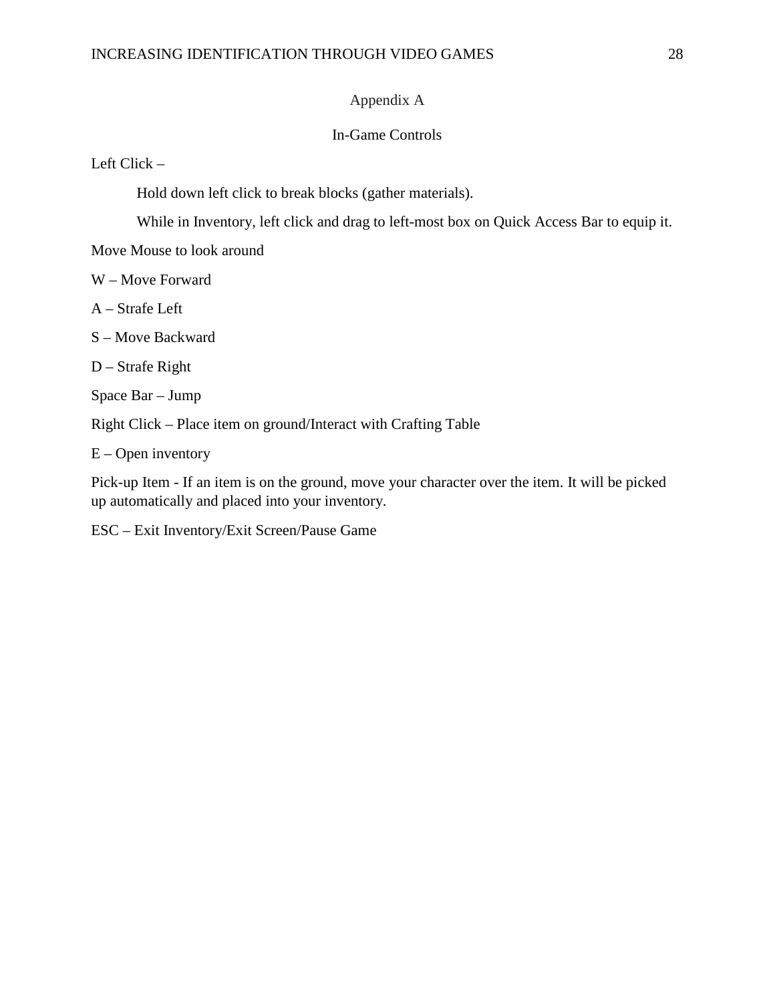## Appendix A

#### In-Game Controls

Left Click –

Hold down left click to break blocks (gather materials).

While in Inventory, left click and drag to left-most box on Quick Access Bar to equip it.

Move Mouse to look around

W – Move Forward

A – Strafe Left

S – Move Backward

D – Strafe Right

Space Bar – Jump

Right Click – Place item on ground/Interact with Crafting Table

 $E -$ Open inventory

Pick-up Item - If an item is on the ground, move your character over the item. It will be picked up automatically and placed into your inventory.

ESC – Exit Inventory/Exit Screen/Pause Game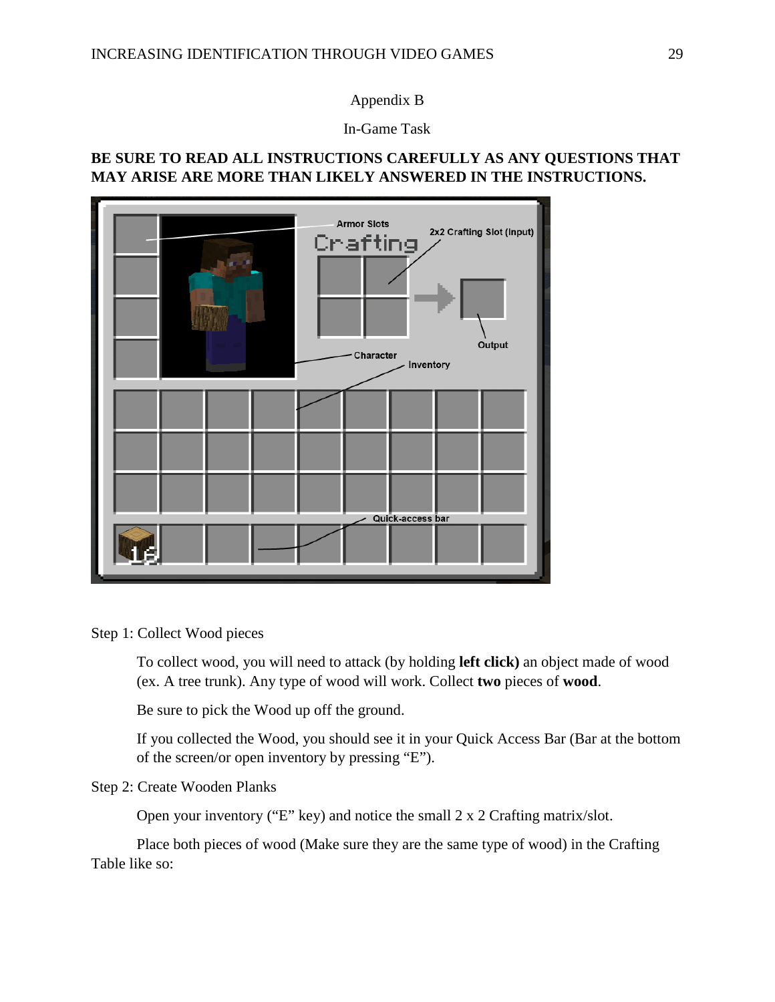Appendix B

In-Game Task

## **BE SURE TO READ ALL INSTRUCTIONS CAREFULLY AS ANY QUESTIONS THAT MAY ARISE ARE MORE THAN LIKELY ANSWERED IN THE INSTRUCTIONS.**



Step 1: Collect Wood pieces

To collect wood, you will need to attack (by holding **left click)** an object made of wood (ex. A tree trunk). Any type of wood will work. Collect **two** pieces of **wood**.

Be sure to pick the Wood up off the ground.

If you collected the Wood, you should see it in your Quick Access Bar (Bar at the bottom of the screen/or open inventory by pressing "E").

## Step 2: Create Wooden Planks

Open your inventory ("E" key) and notice the small 2 x 2 Crafting matrix/slot.

Place both pieces of wood (Make sure they are the same type of wood) in the Crafting Table like so: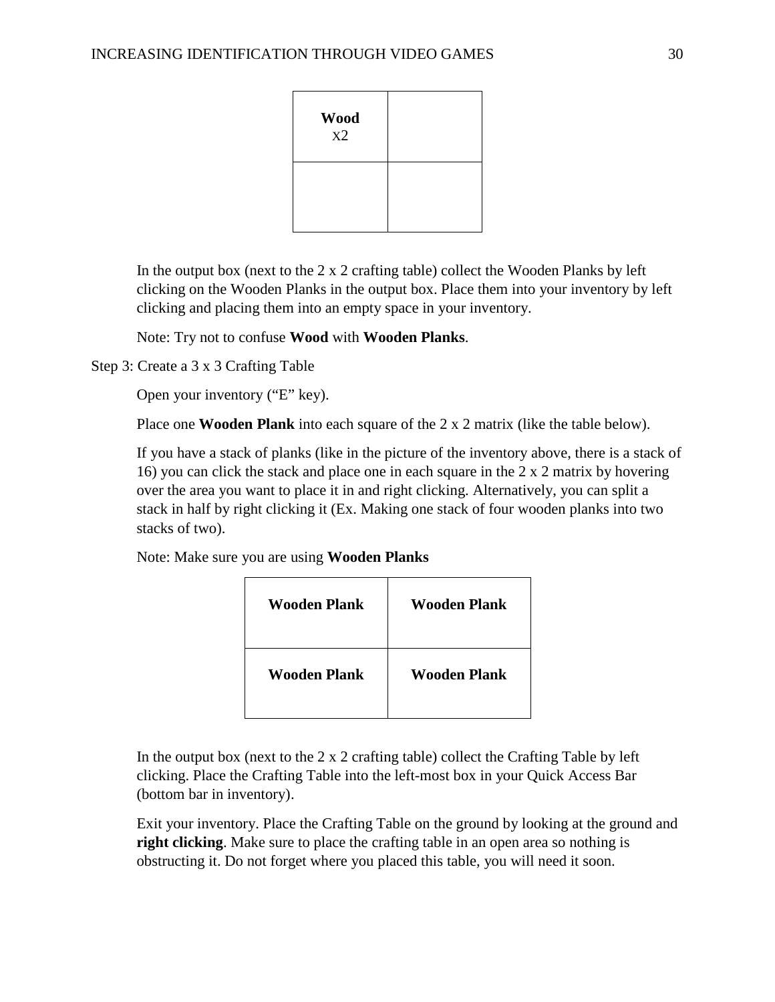| <b>Wood</b><br>X2 |  |
|-------------------|--|
|                   |  |

In the output box (next to the 2 x 2 crafting table) collect the Wooden Planks by left clicking on the Wooden Planks in the output box. Place them into your inventory by left clicking and placing them into an empty space in your inventory.

Note: Try not to confuse **Wood** with **Wooden Planks**.

Step 3: Create a 3 x 3 Crafting Table

Open your inventory ("E" key).

Place one **Wooden Plank** into each square of the 2 x 2 matrix (like the table below).

If you have a stack of planks (like in the picture of the inventory above, there is a stack of 16) you can click the stack and place one in each square in the 2 x 2 matrix by hovering over the area you want to place it in and right clicking. Alternatively, you can split a stack in half by right clicking it (Ex. Making one stack of four wooden planks into two stacks of two).

Note: Make sure you are using **Wooden Planks**

| Wooden Plank | Wooden Plank        |
|--------------|---------------------|
| Wooden Plank | <b>Wooden Plank</b> |

In the output box (next to the  $2 \times 2$  crafting table) collect the Crafting Table by left clicking. Place the Crafting Table into the left-most box in your Quick Access Bar (bottom bar in inventory).

Exit your inventory. Place the Crafting Table on the ground by looking at the ground and **right clicking**. Make sure to place the crafting table in an open area so nothing is obstructing it. Do not forget where you placed this table, you will need it soon.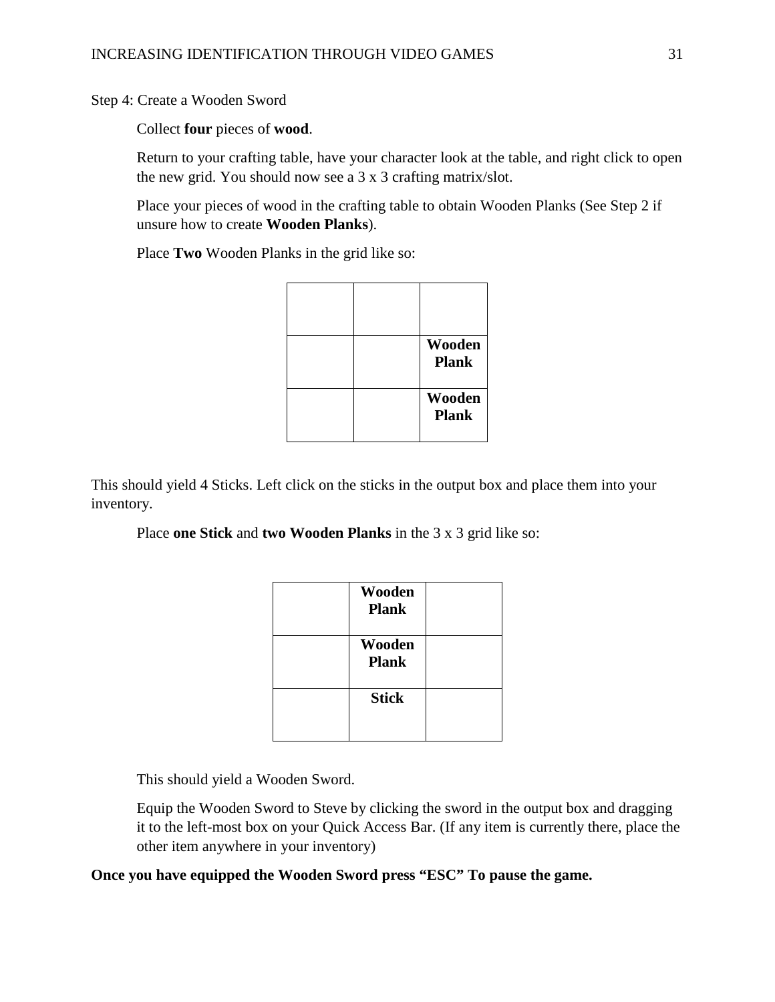Step 4: Create a Wooden Sword

Collect **four** pieces of **wood**.

Return to your crafting table, have your character look at the table, and right click to open the new grid. You should now see a 3 x 3 crafting matrix/slot.

Place your pieces of wood in the crafting table to obtain Wooden Planks (See Step 2 if unsure how to create **Wooden Planks**).

Place **Two** Wooden Planks in the grid like so:

|  | Wooden<br><b>Plank</b> |
|--|------------------------|
|  | Wooden<br><b>Plank</b> |

This should yield 4 Sticks. Left click on the sticks in the output box and place them into your inventory.

Place **one Stick** and **two Wooden Planks** in the 3 x 3 grid like so:

| Wooden<br><b>Plank</b> |  |
|------------------------|--|
| Wooden<br><b>Plank</b> |  |
| <b>Stick</b>           |  |
|                        |  |

This should yield a Wooden Sword.

Equip the Wooden Sword to Steve by clicking the sword in the output box and dragging it to the left-most box on your Quick Access Bar. (If any item is currently there, place the other item anywhere in your inventory)

**Once you have equipped the Wooden Sword press "ESC" To pause the game.**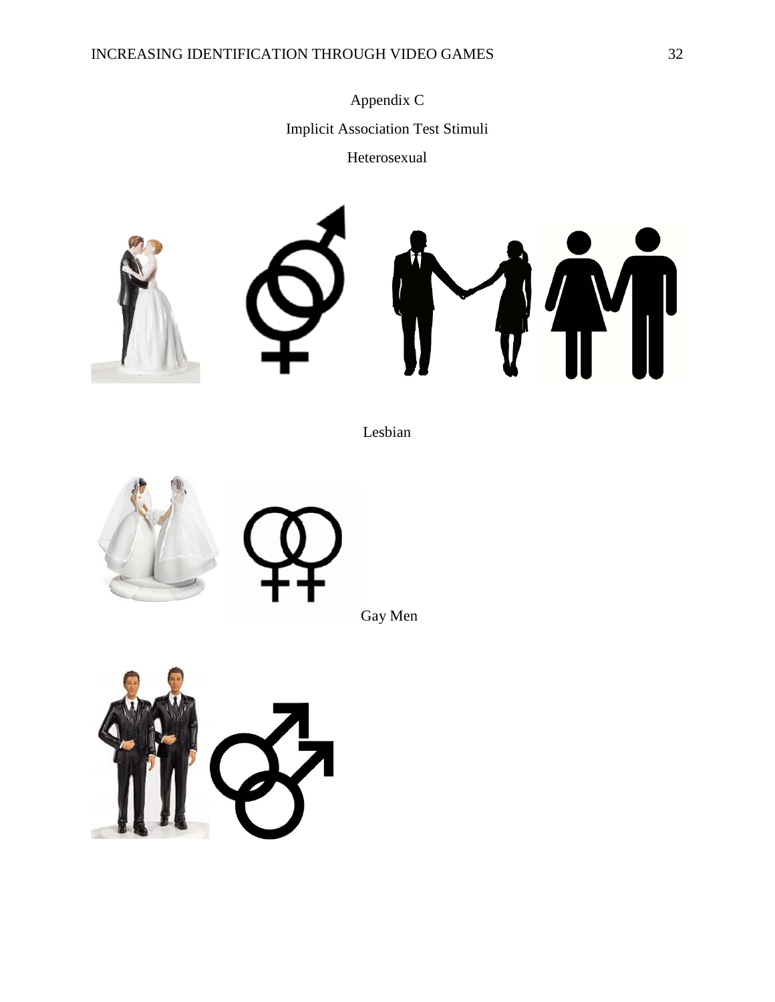## INCREASING IDENTIFICATION THROUGH VIDEO GAMES 32

Appendix C Implicit Association Test Stimuli Heterosexual





Lesbian



Gay Men

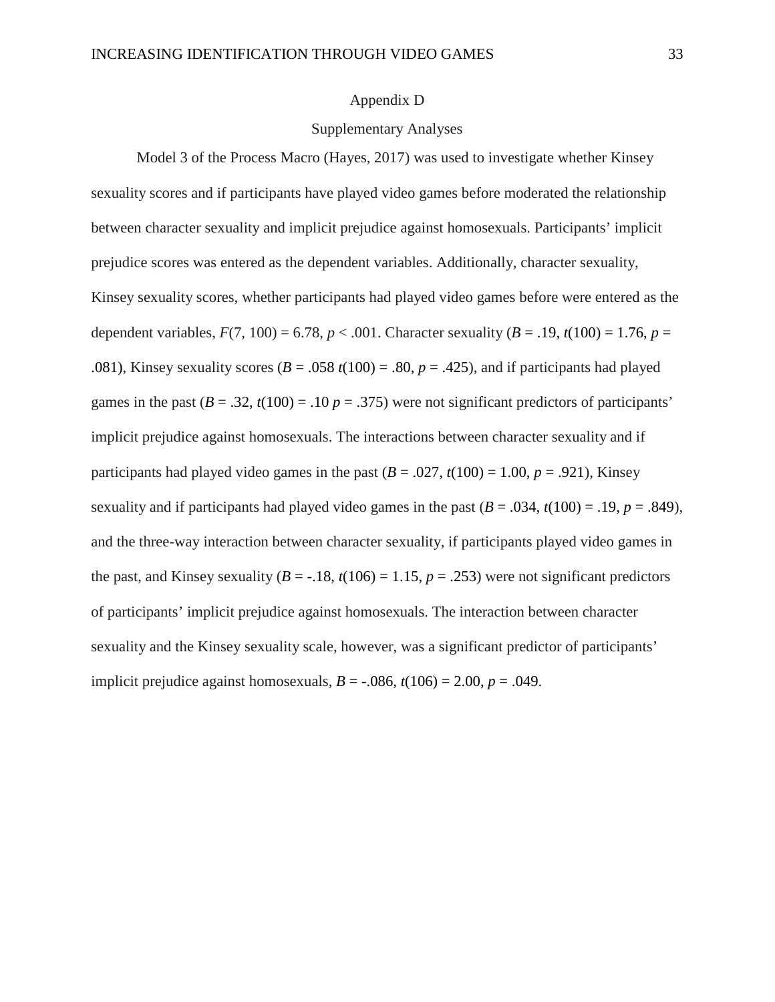#### Appendix D

#### Supplementary Analyses

 Model 3 of the Process Macro (Hayes, 2017) was used to investigate whether Kinsey sexuality scores and if participants have played video games before moderated the relationship between character sexuality and implicit prejudice against homosexuals. Participants' implicit prejudice scores was entered as the dependent variables. Additionally, character sexuality, Kinsey sexuality scores, whether participants had played video games before were entered as the dependent variables,  $F(7, 100) = 6.78$ ,  $p < .001$ . Character sexuality ( $B = .19$ ,  $t(100) = 1.76$ ,  $p =$ .081), Kinsey sexuality scores  $(B = .058 t(100) = .80, p = .425)$ , and if participants had played games in the past  $(B = .32, t(100) = .10 p = .375)$  were not significant predictors of participants' implicit prejudice against homosexuals. The interactions between character sexuality and if participants had played video games in the past  $(B = .027, t(100) = 1.00, p = .921)$ , Kinsey sexuality and if participants had played video games in the past  $(B = .034, t(100) = .19, p = .849)$ , and the three-way interaction between character sexuality, if participants played video games in the past, and Kinsey sexuality ( $B = -.18$ ,  $t(106) = 1.15$ ,  $p = .253$ ) were not significant predictors of participants' implicit prejudice against homosexuals. The interaction between character sexuality and the Kinsey sexuality scale, however, was a significant predictor of participants' implicit prejudice against homosexuals,  $B = -.086$ ,  $t(106) = 2.00$ ,  $p = .049$ .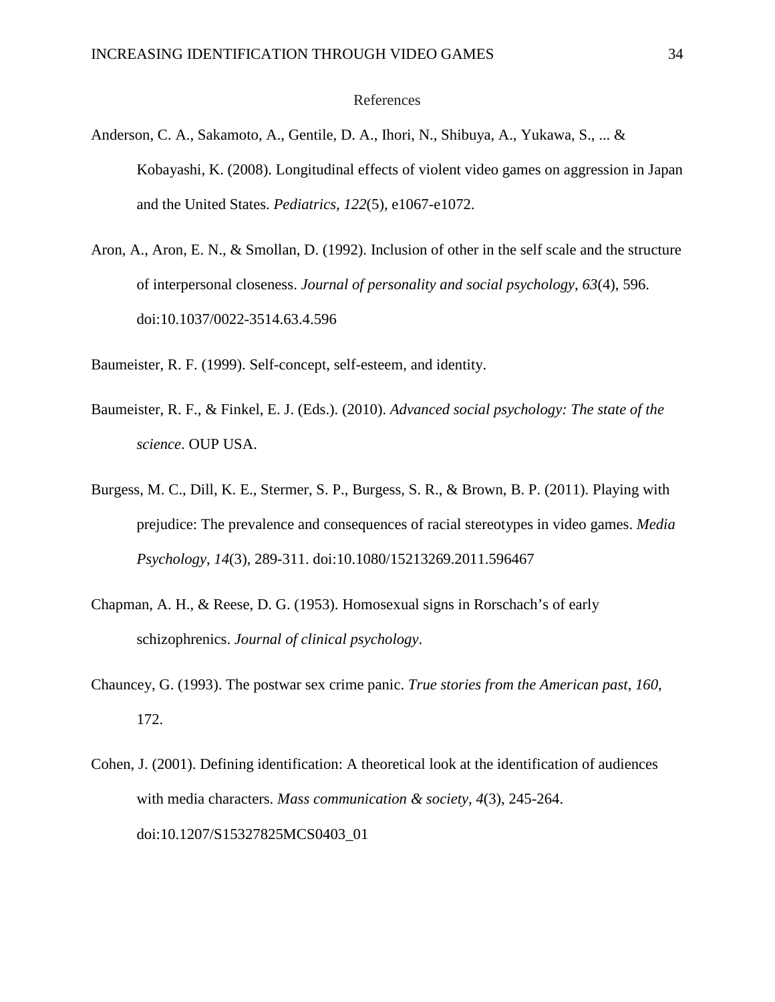#### References

- Anderson, C. A., Sakamoto, A., Gentile, D. A., Ihori, N., Shibuya, A., Yukawa, S., ... & Kobayashi, K. (2008). Longitudinal effects of violent video games on aggression in Japan and the United States. *Pediatrics*, *122*(5), e1067-e1072.
- Aron, A., Aron, E. N., & Smollan, D. (1992). Inclusion of other in the self scale and the structure of interpersonal closeness. *Journal of personality and social psychology*, *63*(4), 596. doi:10.1037/0022-3514.63.4.596
- Baumeister, R. F. (1999). Self-concept, self-esteem, and identity.
- Baumeister, R. F., & Finkel, E. J. (Eds.). (2010). *Advanced social psychology: The state of the science*. OUP USA.
- Burgess, M. C., Dill, K. E., Stermer, S. P., Burgess, S. R., & Brown, B. P. (2011). Playing with prejudice: The prevalence and consequences of racial stereotypes in video games. *Media Psychology*, *14*(3), 289-311. doi:10.1080/15213269.2011.596467
- Chapman, A. H., & Reese, D. G. (1953). Homosexual signs in Rorschach's of early schizophrenics. *Journal of clinical psychology*.
- Chauncey, G. (1993). The postwar sex crime panic. *True stories from the American past*, *160*, 172.
- Cohen, J. (2001). Defining identification: A theoretical look at the identification of audiences with media characters. *Mass communication & society*, *4*(3), 245-264. doi:10.1207/S15327825MCS0403\_01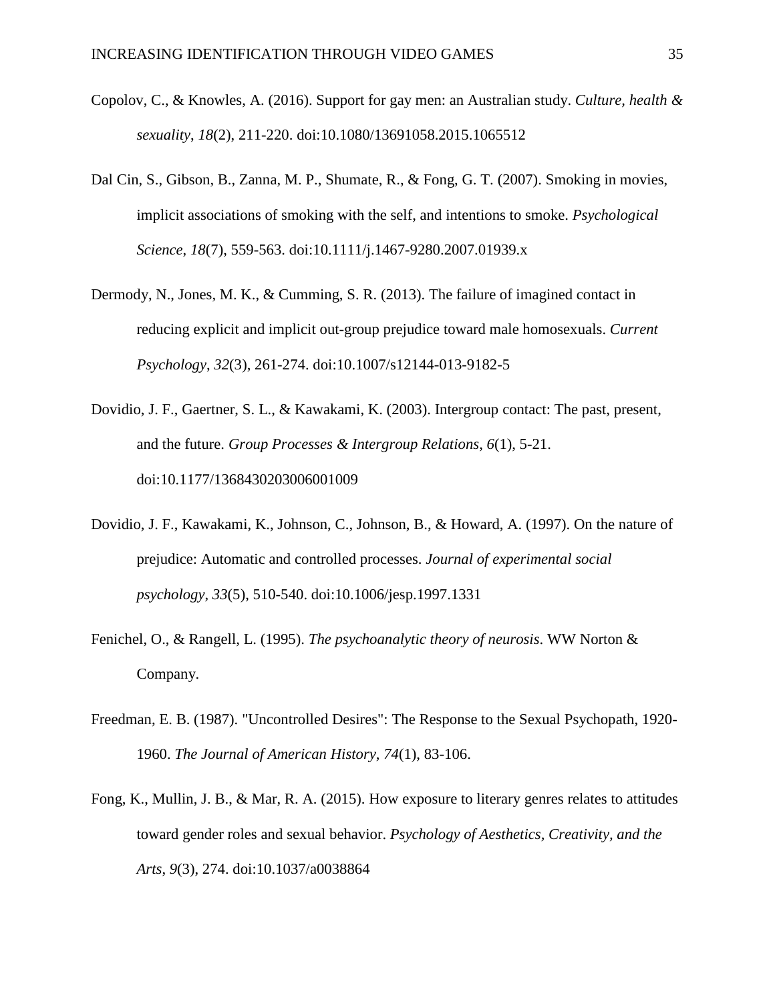- Copolov, C., & Knowles, A. (2016). Support for gay men: an Australian study. *Culture, health & sexuality*, *18*(2), 211-220. doi:10.1080/13691058.2015.1065512
- Dal Cin, S., Gibson, B., Zanna, M. P., Shumate, R., & Fong, G. T. (2007). Smoking in movies, implicit associations of smoking with the self, and intentions to smoke. *Psychological Science*, *18*(7), 559-563. doi:10.1111/j.1467-9280.2007.01939.x
- Dermody, N., Jones, M. K., & Cumming, S. R. (2013). The failure of imagined contact in reducing explicit and implicit out-group prejudice toward male homosexuals. *Current Psychology*, *32*(3), 261-274. doi:10.1007/s12144-013-9182-5
- Dovidio, J. F., Gaertner, S. L., & Kawakami, K. (2003). Intergroup contact: The past, present, and the future. *Group Processes & Intergroup Relations*, *6*(1), 5-21. doi:10.1177/1368430203006001009
- Dovidio, J. F., Kawakami, K., Johnson, C., Johnson, B., & Howard, A. (1997). On the nature of prejudice: Automatic and controlled processes. *Journal of experimental social psychology*, *33*(5), 510-540. doi:10.1006/jesp.1997.1331
- Fenichel, O., & Rangell, L. (1995). *The psychoanalytic theory of neurosis*. WW Norton & Company.
- Freedman, E. B. (1987). "Uncontrolled Desires": The Response to the Sexual Psychopath, 1920- 1960. *The Journal of American History*, *74*(1), 83-106.
- Fong, K., Mullin, J. B., & Mar, R. A. (2015). How exposure to literary genres relates to attitudes toward gender roles and sexual behavior. *Psychology of Aesthetics, Creativity, and the Arts*, *9*(3), 274. doi:10.1037/a0038864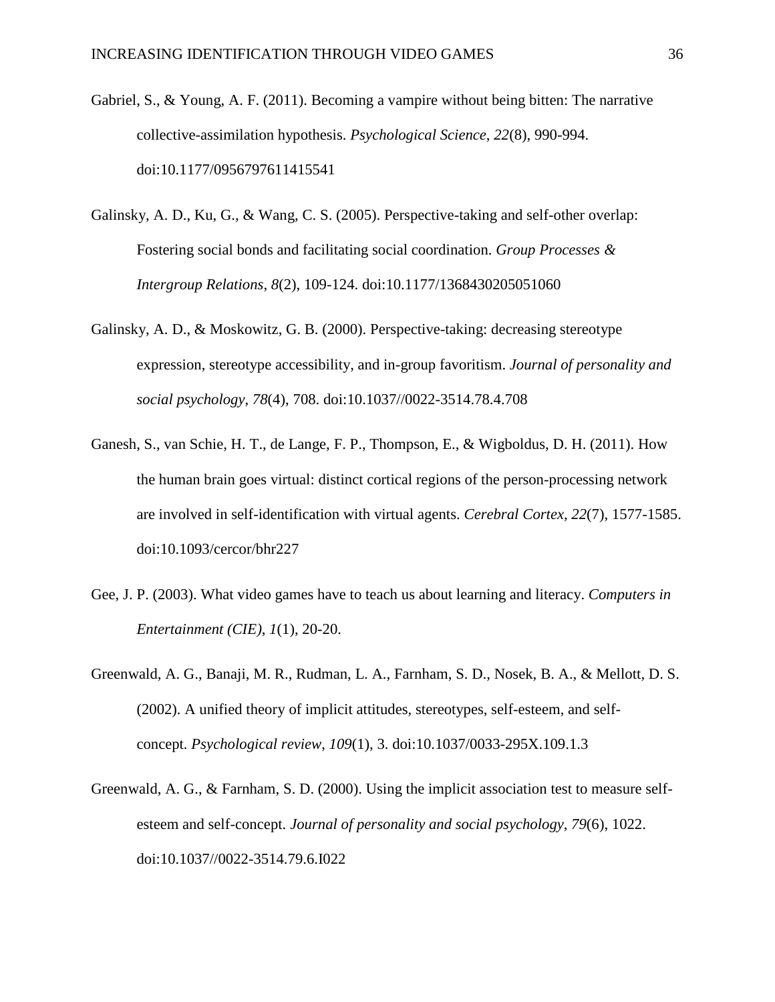- Gabriel, S., & Young, A. F. (2011). Becoming a vampire without being bitten: The narrative collective-assimilation hypothesis. *Psychological Science*, *22*(8), 990-994. doi:10.1177/0956797611415541
- Galinsky, A. D., Ku, G., & Wang, C. S. (2005). Perspective-taking and self-other overlap: Fostering social bonds and facilitating social coordination. *Group Processes & Intergroup Relations*, *8*(2), 109-124. doi:10.1177/1368430205051060
- Galinsky, A. D., & Moskowitz, G. B. (2000). Perspective-taking: decreasing stereotype expression, stereotype accessibility, and in-group favoritism. *Journal of personality and social psychology*, *78*(4), 708. doi:10.1037//0022-3514.78.4.708
- Ganesh, S., van Schie, H. T., de Lange, F. P., Thompson, E., & Wigboldus, D. H. (2011). How the human brain goes virtual: distinct cortical regions of the person-processing network are involved in self-identification with virtual agents. *Cerebral Cortex*, *22*(7), 1577-1585. doi:10.1093/cercor/bhr227
- Gee, J. P. (2003). What video games have to teach us about learning and literacy. *Computers in Entertainment (CIE)*, *1*(1), 20-20.
- Greenwald, A. G., Banaji, M. R., Rudman, L. A., Farnham, S. D., Nosek, B. A., & Mellott, D. S. (2002). A unified theory of implicit attitudes, stereotypes, self-esteem, and selfconcept. *Psychological review*, *109*(1), 3. doi:10.1037/0033-295X.109.1.3
- Greenwald, A. G., & Farnham, S. D. (2000). Using the implicit association test to measure selfesteem and self-concept. *Journal of personality and social psychology*, *79*(6), 1022. doi:10.1037//0022-3514.79.6.I022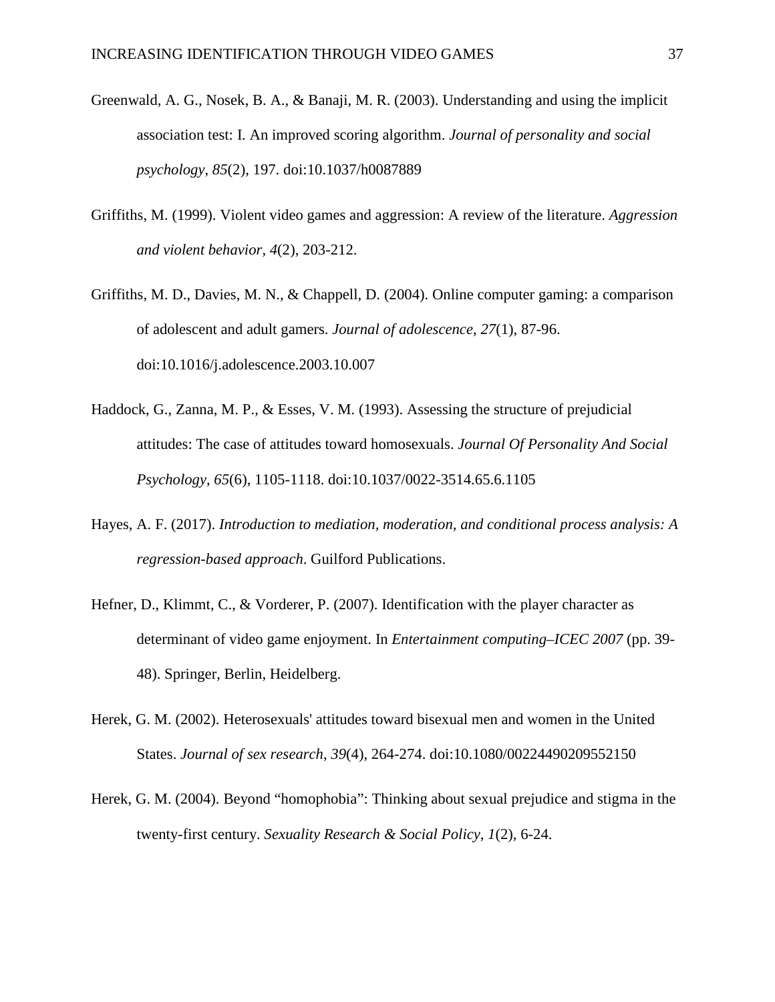- Greenwald, A. G., Nosek, B. A., & Banaji, M. R. (2003). Understanding and using the implicit association test: I. An improved scoring algorithm. *Journal of personality and social psychology*, *85*(2), 197. doi:10.1037/h0087889
- Griffiths, M. (1999). Violent video games and aggression: A review of the literature. *Aggression and violent behavior*, *4*(2), 203-212.
- Griffiths, M. D., Davies, M. N., & Chappell, D. (2004). Online computer gaming: a comparison of adolescent and adult gamers. *Journal of adolescence*, *27*(1), 87-96. doi:10.1016/j.adolescence.2003.10.007
- Haddock, G., Zanna, M. P., & Esses, V. M. (1993). Assessing the structure of prejudicial attitudes: The case of attitudes toward homosexuals. *Journal Of Personality And Social Psychology*, *65*(6), 1105-1118. doi:10.1037/0022-3514.65.6.1105
- Hayes, A. F. (2017). *Introduction to mediation, moderation, and conditional process analysis: A regression-based approach*. Guilford Publications.
- Hefner, D., Klimmt, C., & Vorderer, P. (2007). Identification with the player character as determinant of video game enjoyment. In *Entertainment computing–ICEC 2007* (pp. 39- 48). Springer, Berlin, Heidelberg.
- Herek, G. M. (2002). Heterosexuals' attitudes toward bisexual men and women in the United States. *Journal of sex research*, *39*(4), 264-274. doi:10.1080/00224490209552150
- Herek, G. M. (2004). Beyond "homophobia": Thinking about sexual prejudice and stigma in the twenty-first century. *Sexuality Research & Social Policy*, *1*(2), 6-24.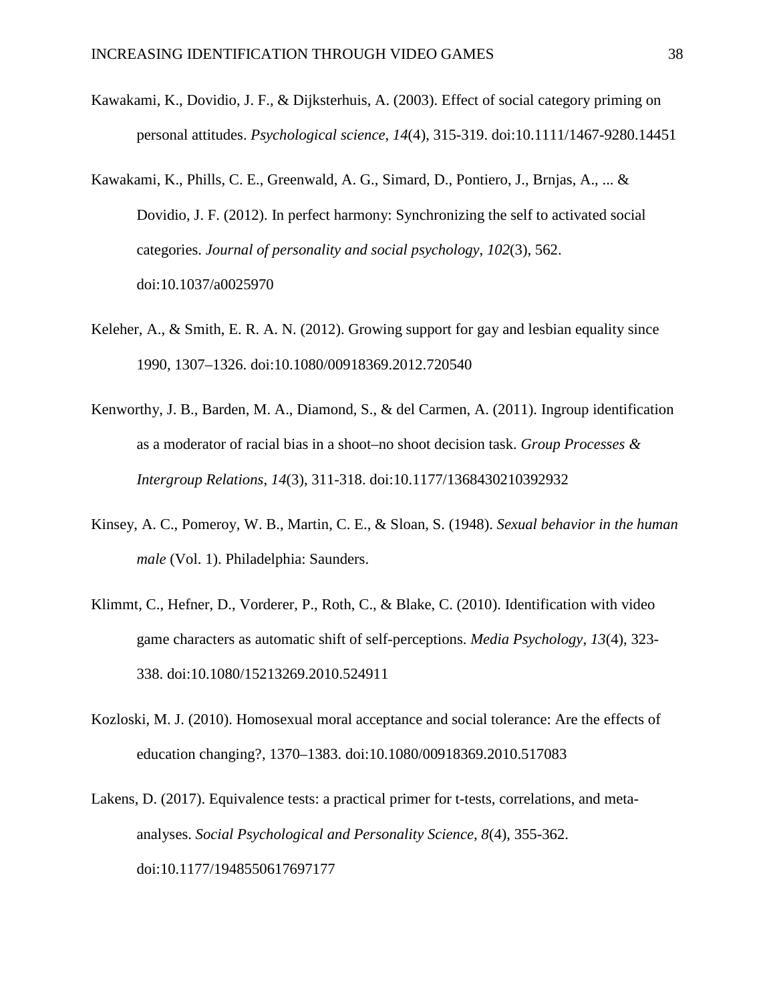- Kawakami, K., Dovidio, J. F., & Dijksterhuis, A. (2003). Effect of social category priming on personal attitudes. *Psychological science*, *14*(4), 315-319. doi:10.1111/1467-9280.14451
- Kawakami, K., Phills, C. E., Greenwald, A. G., Simard, D., Pontiero, J., Brnjas, A., ... & Dovidio, J. F. (2012). In perfect harmony: Synchronizing the self to activated social categories. *Journal of personality and social psychology*, *102*(3), 562. doi:10.1037/a0025970
- Keleher, A., & Smith, E. R. A. N. (2012). Growing support for gay and lesbian equality since 1990, 1307–1326. doi:10.1080/00918369.2012.720540
- Kenworthy, J. B., Barden, M. A., Diamond, S., & del Carmen, A. (2011). Ingroup identification as a moderator of racial bias in a shoot–no shoot decision task. *Group Processes & Intergroup Relations*, *14*(3), 311-318. doi:10.1177/1368430210392932
- Kinsey, A. C., Pomeroy, W. B., Martin, C. E., & Sloan, S. (1948). *Sexual behavior in the human male* (Vol. 1). Philadelphia: Saunders.
- Klimmt, C., Hefner, D., Vorderer, P., Roth, C., & Blake, C. (2010). Identification with video game characters as automatic shift of self-perceptions. *Media Psychology*, *13*(4), 323- 338. doi:10.1080/15213269.2010.524911
- Kozloski, M. J. (2010). Homosexual moral acceptance and social tolerance: Are the effects of education changing?, 1370–1383. doi:10.1080/00918369.2010.517083
- Lakens, D. (2017). Equivalence tests: a practical primer for t-tests, correlations, and metaanalyses. *Social Psychological and Personality Science*, *8*(4), 355-362. doi:10.1177/1948550617697177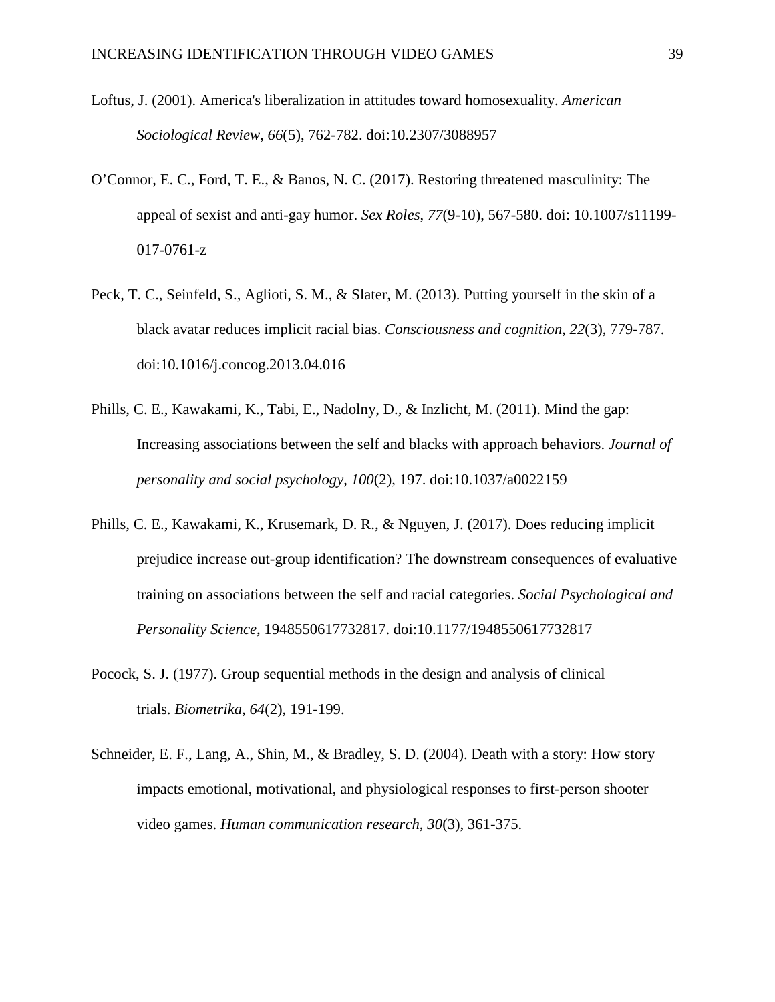- Loftus, J. (2001). America's liberalization in attitudes toward homosexuality. *American Sociological Review*, *66*(5), 762-782. doi:10.2307/3088957
- O'Connor, E. C., Ford, T. E., & Banos, N. C. (2017). Restoring threatened masculinity: The appeal of sexist and anti-gay humor. *Sex Roles*, *77*(9-10), 567-580. doi: 10.1007/s11199- 017-0761-z
- Peck, T. C., Seinfeld, S., Aglioti, S. M., & Slater, M. (2013). Putting yourself in the skin of a black avatar reduces implicit racial bias. *Consciousness and cognition*, *22*(3), 779-787. doi:10.1016/j.concog.2013.04.016
- Phills, C. E., Kawakami, K., Tabi, E., Nadolny, D., & Inzlicht, M. (2011). Mind the gap: Increasing associations between the self and blacks with approach behaviors. *Journal of personality and social psychology*, *100*(2), 197. doi:10.1037/a0022159
- Phills, C. E., Kawakami, K., Krusemark, D. R., & Nguyen, J. (2017). Does reducing implicit prejudice increase out-group identification? The downstream consequences of evaluative training on associations between the self and racial categories. *Social Psychological and Personality Science*, 1948550617732817. doi:10.1177/1948550617732817
- Pocock, S. J. (1977). Group sequential methods in the design and analysis of clinical trials. *Biometrika*, *64*(2), 191-199.
- Schneider, E. F., Lang, A., Shin, M., & Bradley, S. D. (2004). Death with a story: How story impacts emotional, motivational, and physiological responses to first-person shooter video games. *Human communication research*, *30*(3), 361-375.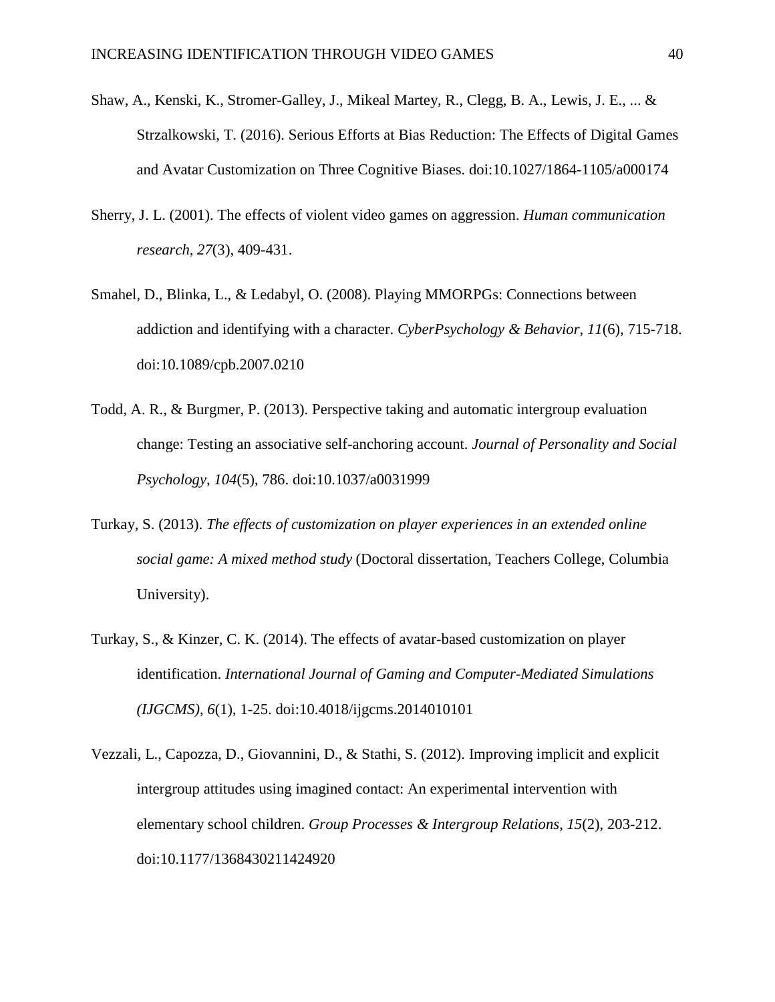- Shaw, A., Kenski, K., Stromer-Galley, J., Mikeal Martey, R., Clegg, B. A., Lewis, J. E., ... & Strzalkowski, T. (2016). Serious Efforts at Bias Reduction: The Effects of Digital Games and Avatar Customization on Three Cognitive Biases. doi:10.1027/1864-1105/a000174
- Sherry, J. L. (2001). The effects of violent video games on aggression. *Human communication research*, *27*(3), 409-431.
- Smahel, D., Blinka, L., & Ledabyl, O. (2008). Playing MMORPGs: Connections between addiction and identifying with a character. *CyberPsychology & Behavior*, *11*(6), 715-718. doi:10.1089/cpb.2007.0210
- Todd, A. R., & Burgmer, P. (2013). Perspective taking and automatic intergroup evaluation change: Testing an associative self-anchoring account. *Journal of Personality and Social Psychology*, *104*(5), 786. doi:10.1037/a0031999
- Turkay, S. (2013). *The effects of customization on player experiences in an extended online social game: A mixed method study* (Doctoral dissertation, Teachers College, Columbia University).
- Turkay, S., & Kinzer, C. K. (2014). The effects of avatar-based customization on player identification. *International Journal of Gaming and Computer-Mediated Simulations (IJGCMS)*, *6*(1), 1-25. doi:10.4018/ijgcms.2014010101
- Vezzali, L., Capozza, D., Giovannini, D., & Stathi, S. (2012). Improving implicit and explicit intergroup attitudes using imagined contact: An experimental intervention with elementary school children. *Group Processes & Intergroup Relations*, *15*(2), 203-212. doi:10.1177/1368430211424920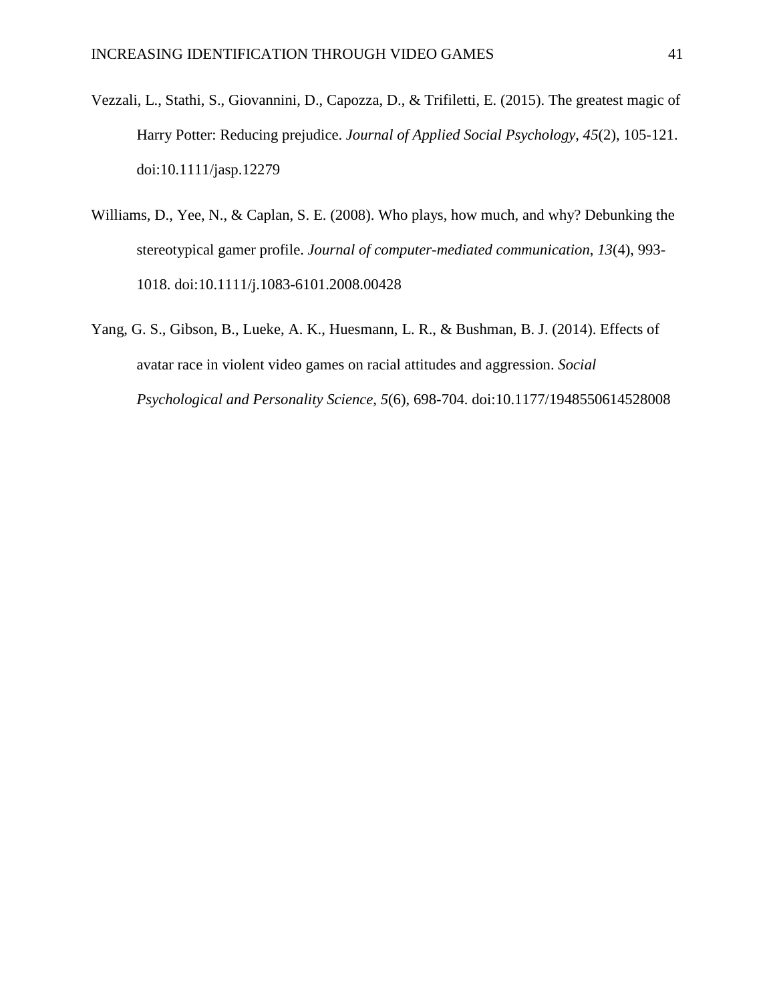- Vezzali, L., Stathi, S., Giovannini, D., Capozza, D., & Trifiletti, E. (2015). The greatest magic of Harry Potter: Reducing prejudice. *Journal of Applied Social Psychology*, *45*(2), 105-121. doi:10.1111/jasp.12279
- Williams, D., Yee, N., & Caplan, S. E. (2008). Who plays, how much, and why? Debunking the stereotypical gamer profile. *Journal of computer-mediated communication*, *13*(4), 993- 1018. doi:10.1111/j.1083-6101.2008.00428
- Yang, G. S., Gibson, B., Lueke, A. K., Huesmann, L. R., & Bushman, B. J. (2014). Effects of avatar race in violent video games on racial attitudes and aggression. *Social Psychological and Personality Science*, *5*(6), 698-704. doi:10.1177/1948550614528008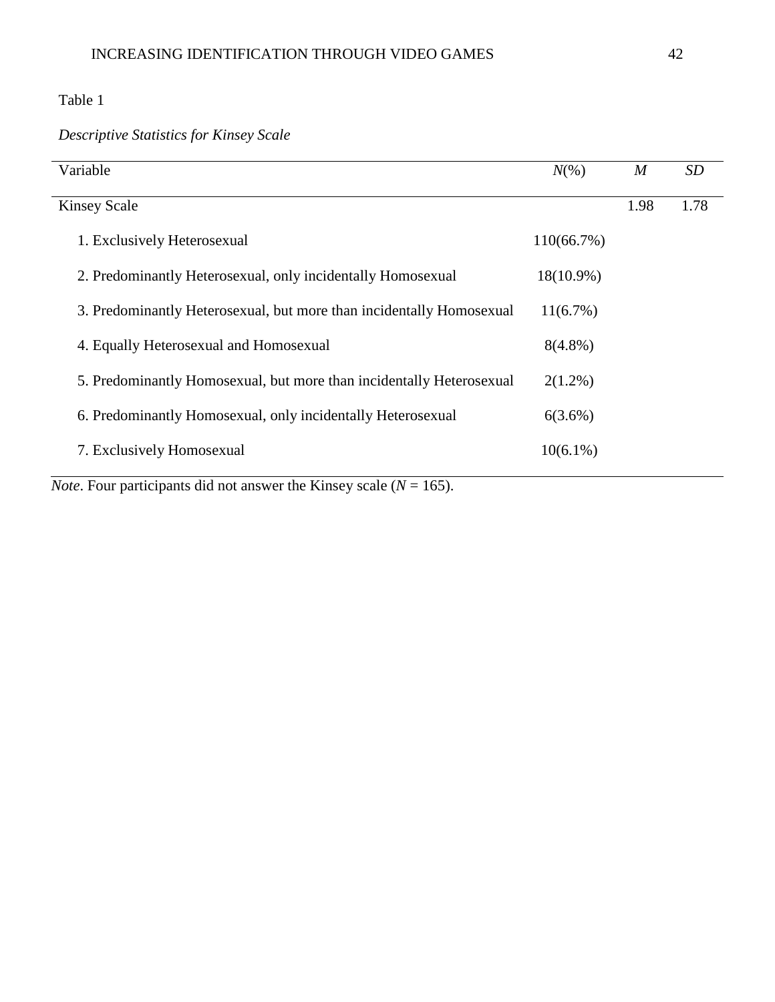## Table 1

l,

## *Descriptive Statistics for Kinsey Scale*

| Variable                                                             | $N(\% )$      | $\boldsymbol{M}$ | <b>SD</b> |
|----------------------------------------------------------------------|---------------|------------------|-----------|
| <b>Kinsey Scale</b>                                                  |               | 1.98             | 1.78      |
| 1. Exclusively Heterosexual                                          | $110(66.7\%)$ |                  |           |
| 2. Predominantly Heterosexual, only incidentally Homosexual          | 18(10.9%)     |                  |           |
| 3. Predominantly Heterosexual, but more than incidentally Homosexual | $11(6.7\%)$   |                  |           |
| 4. Equally Heterosexual and Homosexual                               | $8(4.8\%)$    |                  |           |
| 5. Predominantly Homosexual, but more than incidentally Heterosexual | $2(1.2\%)$    |                  |           |
| 6. Predominantly Homosexual, only incidentally Heterosexual          | $6(3.6\%)$    |                  |           |
| 7. Exclusively Homosexual                                            | $10(6.1\%)$   |                  |           |
|                                                                      |               |                  |           |

*Note*. Four participants did not answer the Kinsey scale ( $N = 165$ ).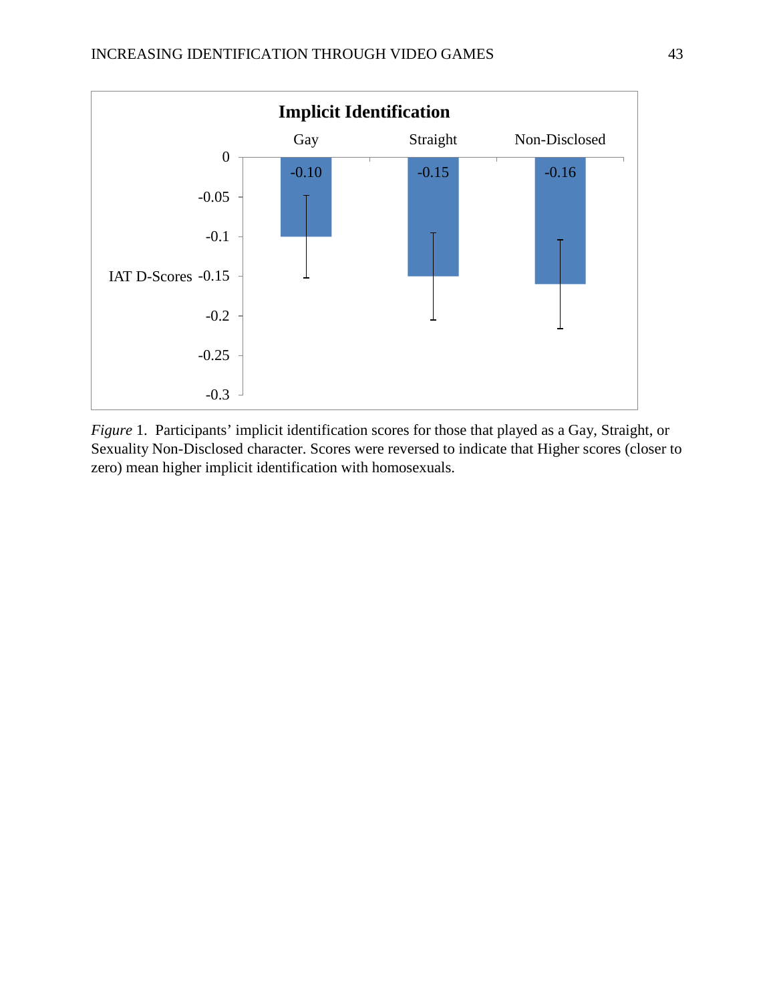

*Figure* 1. Participants' implicit identification scores for those that played as a Gay, Straight, or Sexuality Non-Disclosed character. Scores were reversed to indicate that Higher scores (closer to zero) mean higher implicit identification with homosexuals.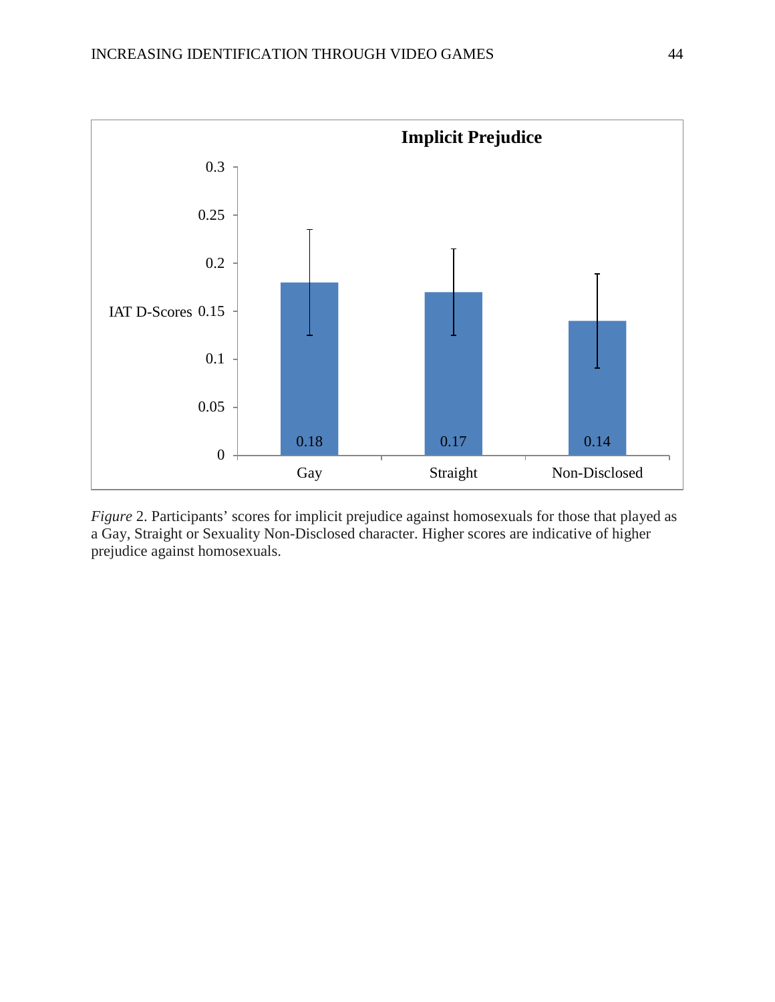

*Figure 2.* Participants' scores for implicit prejudice against homosexuals for those that played as a Gay, Straight or Sexuality Non-Disclosed character. Higher scores are indicative of higher prejudice against homosexuals.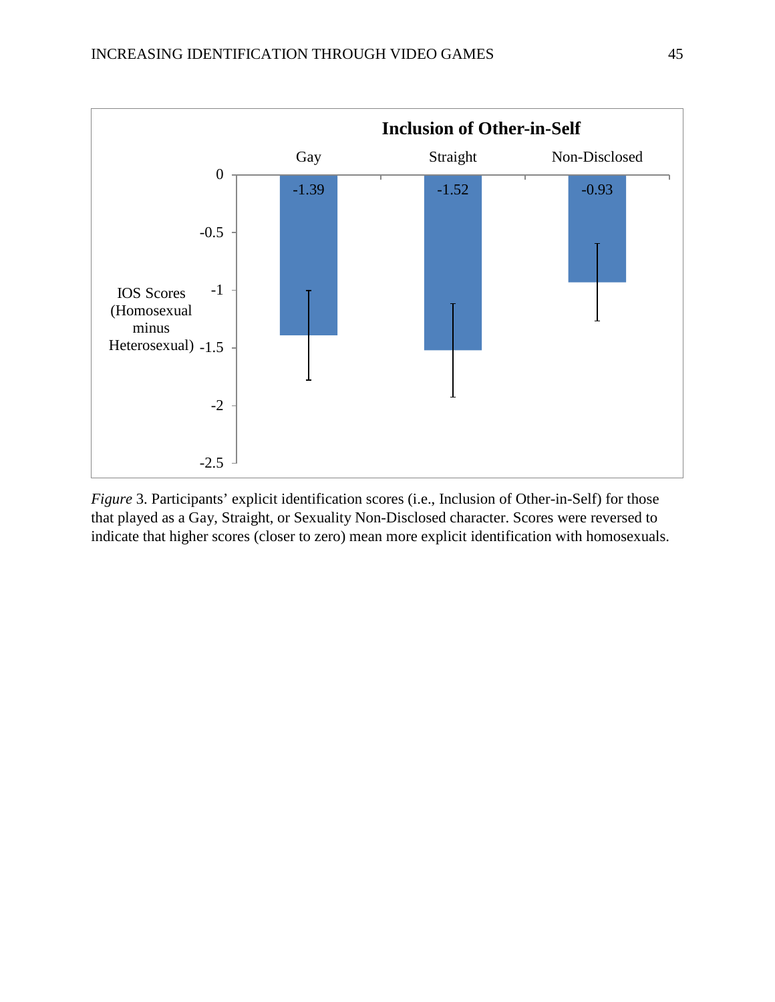

*Figure* 3. Participants' explicit identification scores (i.e., Inclusion of Other-in-Self) for those that played as a Gay, Straight, or Sexuality Non-Disclosed character. Scores were reversed to indicate that higher scores (closer to zero) mean more explicit identification with homosexuals.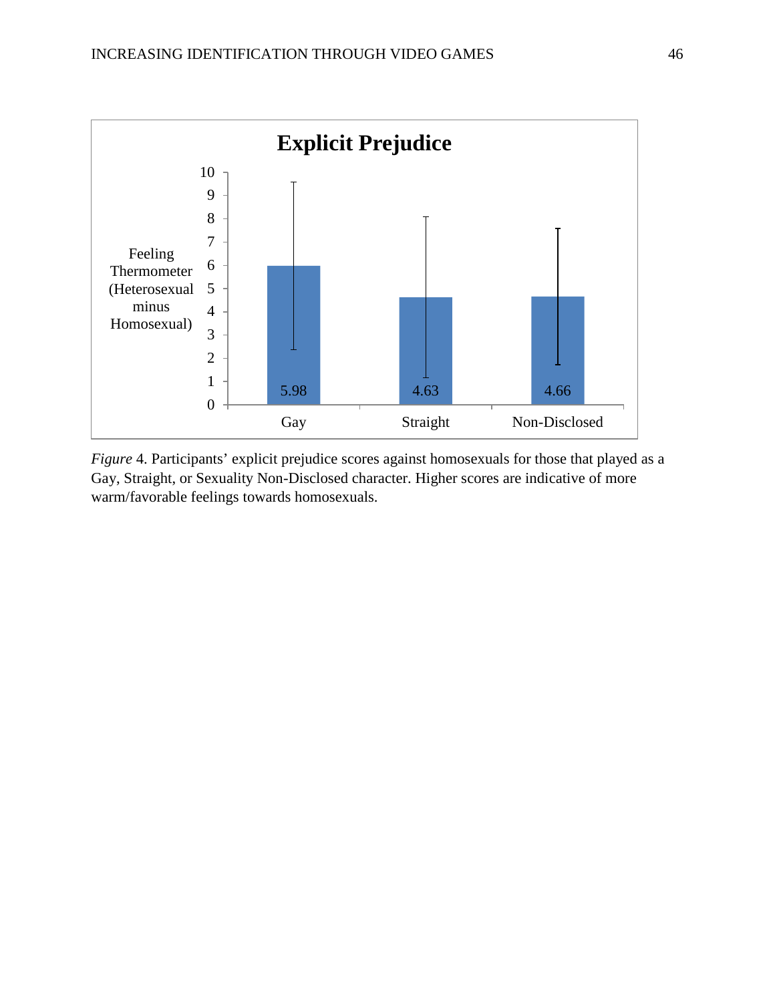

*Figure* 4. Participants' explicit prejudice scores against homosexuals for those that played as a Gay, Straight, or Sexuality Non-Disclosed character. Higher scores are indicative of more warm/favorable feelings towards homosexuals.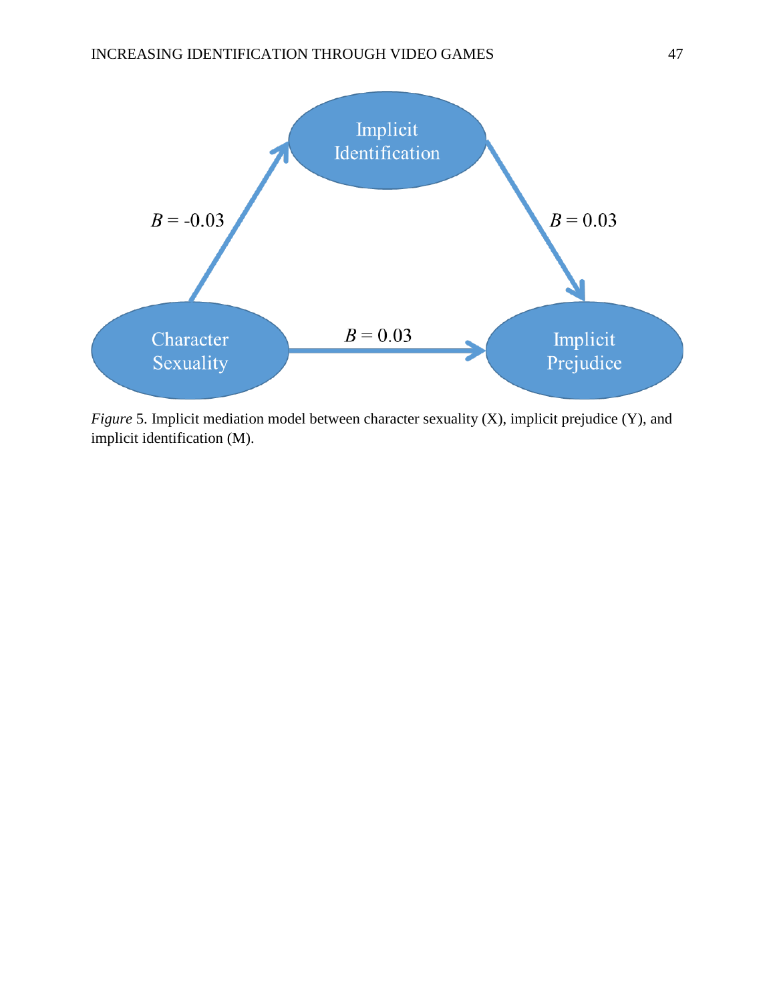

*Figure* 5. Implicit mediation model between character sexuality (X), implicit prejudice (Y), and implicit identification (M).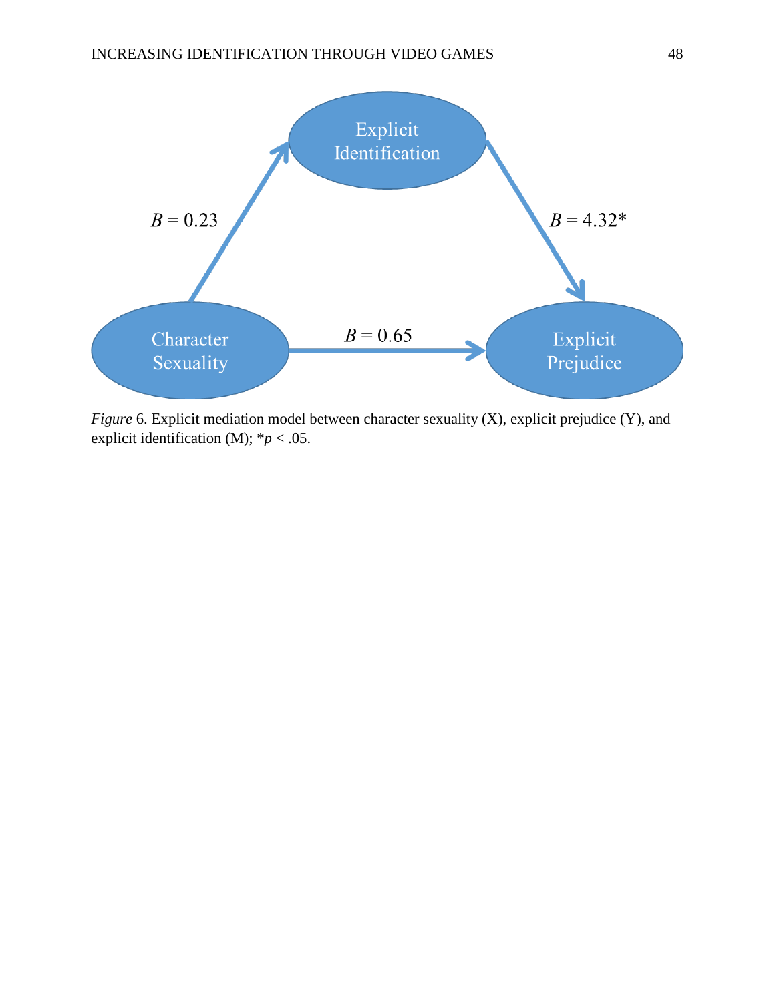

*Figure* 6. Explicit mediation model between character sexuality (X), explicit prejudice (Y), and explicit identification (M);  $* p < .05$ .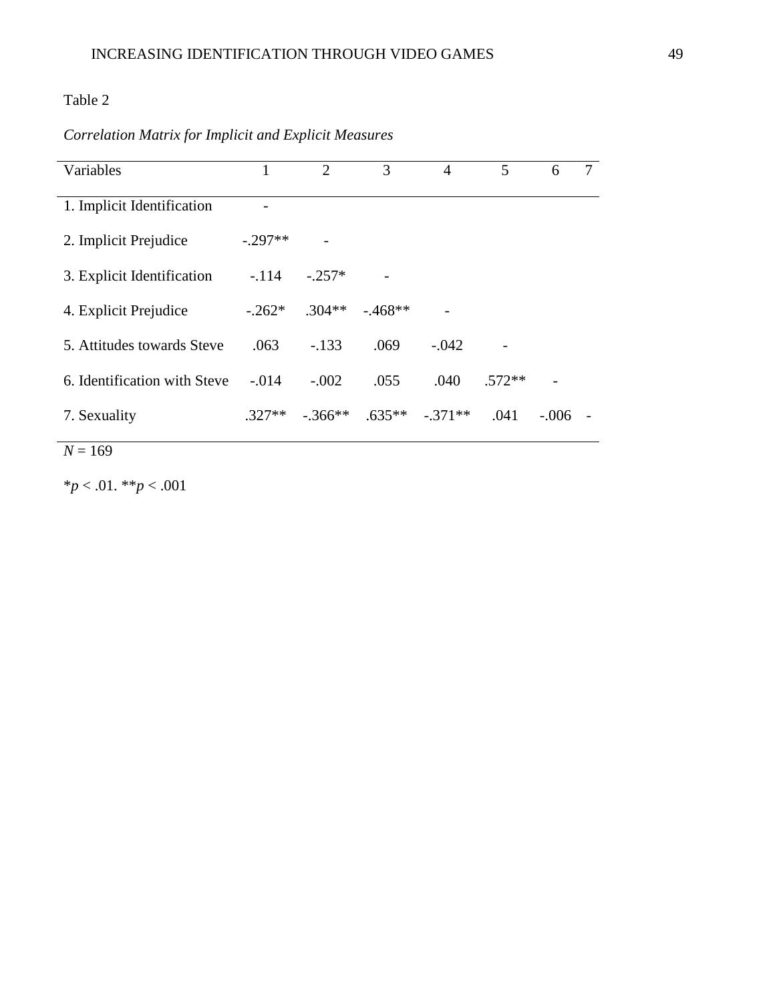## Table 2

## *Correlation Matrix for Implicit and Explicit Measures*

| Variables                    |          | $\mathcal{D}_{\mathcal{L}}$ | 3         | 4         | 5        | 6       | 7 |
|------------------------------|----------|-----------------------------|-----------|-----------|----------|---------|---|
| 1. Implicit Identification   |          |                             |           |           |          |         |   |
| 2. Implicit Prejudice        | $-297**$ |                             |           |           |          |         |   |
| 3. Explicit Identification   | $-.114$  | $-.257*$                    |           |           |          |         |   |
| 4. Explicit Prejudice        | $-262*$  | $.304**$                    | $-.468**$ |           |          |         |   |
| 5. Attitudes towards Steve   | .063     | $-133$                      | .069      | $-.042$   |          |         |   |
| 6. Identification with Steve | $-.014$  | $-.002$                     | .055      | .040      | $.572**$ |         |   |
| 7. Sexuality                 | $.327**$ | $-.366**$                   | $.635**$  | $-.371**$ | .041     | $-.006$ |   |

$$
N=169
$$

\**p* < .01. \*\**p* < .001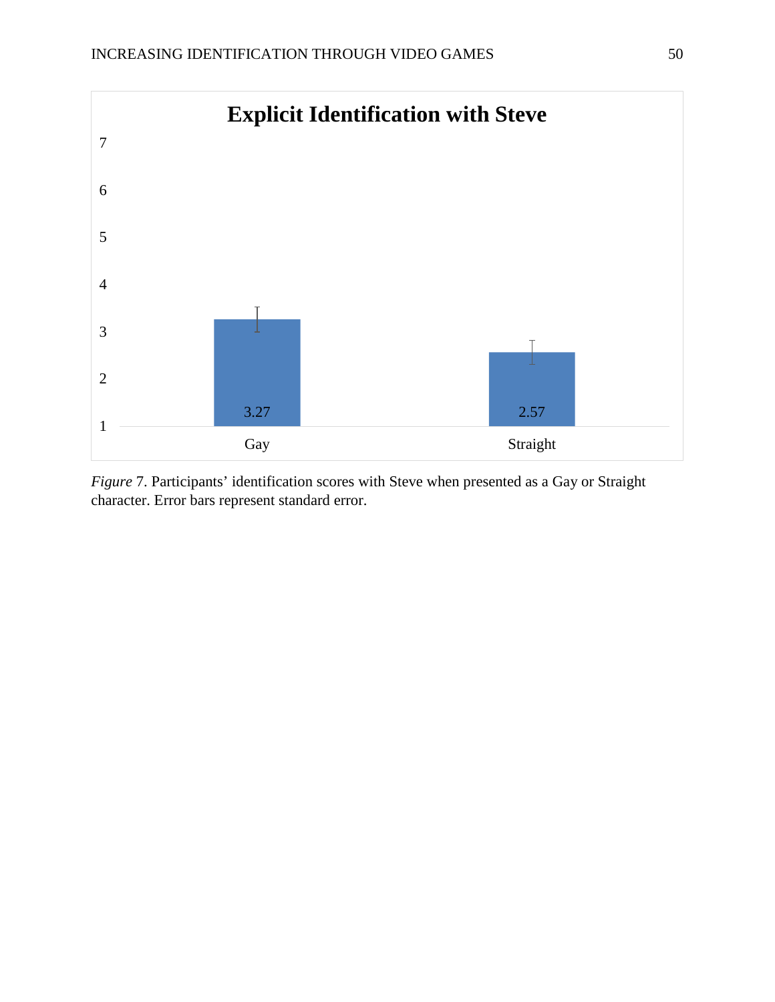

*Figure* 7. Participants' identification scores with Steve when presented as a Gay or Straight character. Error bars represent standard error.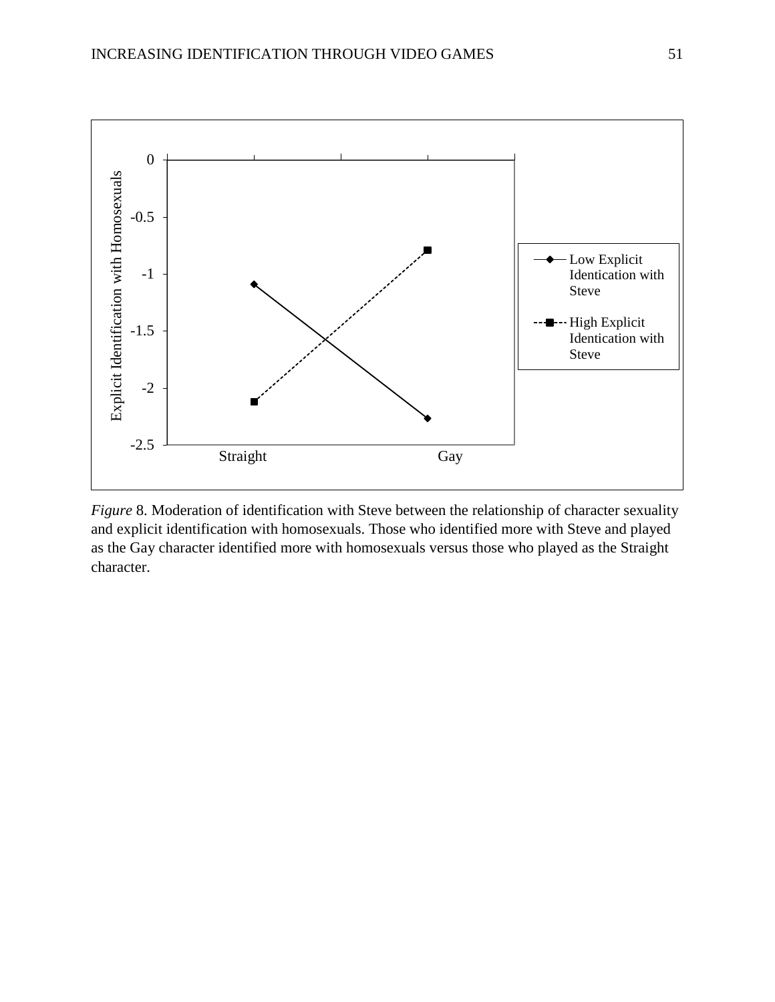

*Figure* 8. Moderation of identification with Steve between the relationship of character sexuality and explicit identification with homosexuals. Those who identified more with Steve and played as the Gay character identified more with homosexuals versus those who played as the Straight character.